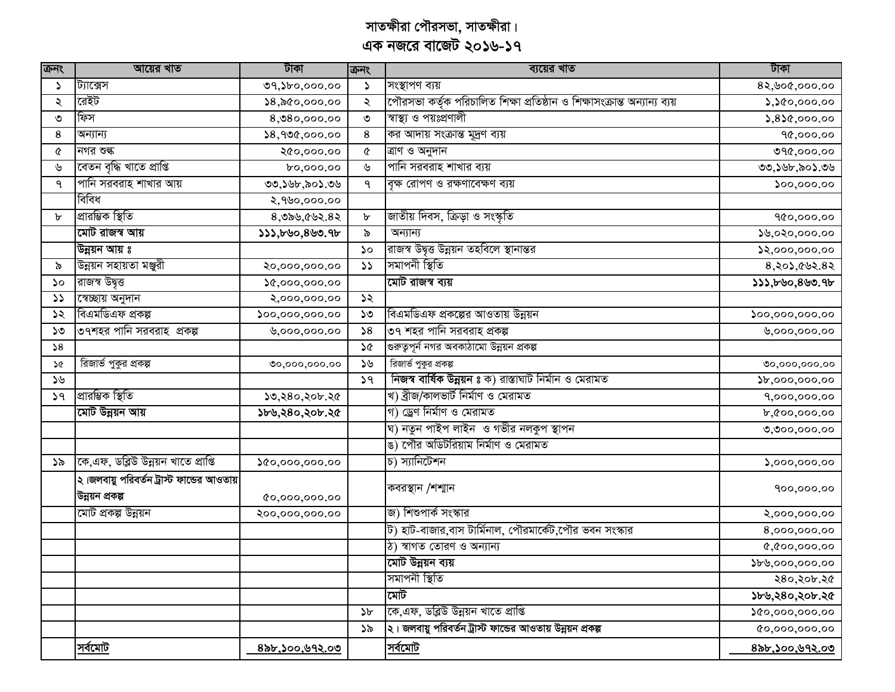| कुनर          | আয়ের খাত                                                    | টাকা                            | ক্ৰনং         | ব্যয়ের খাত                                                               | টাকা                                                                     |
|---------------|--------------------------------------------------------------|---------------------------------|---------------|---------------------------------------------------------------------------|--------------------------------------------------------------------------|
| S             | ট্যাক্সেস                                                    | $09,$ $00,000.00$               | $\mathcal{L}$ | সংস্থাপণ ব্যয়                                                            | 8२,७०৫,०००.००                                                            |
| ২             | রেইট                                                         | $\$8,$ ৯৫০,০০০.০০               | ২             | পৌরসভা কর্তৃক পরিচালিত শিক্ষা প্রতিষ্ঠান ও শিক্ষাসংক্রান্ত অন্যান্য ব্যয় | $\lambda$ , $\lambda$ &0,000.00                                          |
| ৩             | ফিস                                                          | 8,080,000.00                    | $\mathsf{O}$  | স্বাস্থ্য ও পয়ঃপ্রণালী                                                   | $5,8$ $6,000.00$                                                         |
| 8             | অন্যান্য                                                     | 28,900,000.00                   | 8             | কর আদায় সংক্রান্ত মূদ্রণ ব্যয়                                           | 90,000.00                                                                |
| ৫             | নগর শুল্ক                                                    | ২৫০,০০০.০০                      | ¢             | ত্ৰাণ ও অনুদান                                                            | ৩৭৫,০০০.০০                                                               |
| ৬             | বেতন বৃদ্ধি খাতে প্ৰাপ্তি                                    | 60,000.00                       | ৬             | পানি সরবরাহ শাখার ব্যয়                                                   | ৩৩,১৬৮,৯০১.৩৬                                                            |
| ٩             | পানি সরবরাহ শাখার আয়                                        | ৩৩,১৬৮,৯০১.৩৬                   | ٩             | বৃক্ষ রোপণ ও রক্ষণাবেক্ষণ ব্যয়                                           | $\mathcal{S}^{oo},\mathcal{S}^{oo},\mathcal{S}^{oo}$                     |
|               | বিবিধ                                                        | ২,৭৬০,০০০.০০                    |               |                                                                           |                                                                          |
| b             | প্ৰাৱম্ভিক স্থিতি                                            | 8,989,692.82                    | $\mathbf b$   | জাতীয় দিবস, ক্রিড়া ও সংস্কৃতি                                           | 900,000.00                                                               |
|               | মোট রাজস্ব আয়                                               | 333,500,800.95                  | ৯             | অন্যান্য                                                                  | ১৬,০২০,০০০.০০                                                            |
|               | উন্নয়ন আয় ঃ                                                |                                 | $\mathcal{L}$ | রাজস্ব উদ্বৃত্ত উন্নয়ন তহবিলে স্থানান্তর                                 | ১২,০০০,০০০.০০                                                            |
| ৯             | উন্নয়ন সহায়তা মঞ্জুরী                                      | ২০,০০০,০০০.০০                   | $\mathcal{L}$ | সমাপনী স্থিতি                                                             | $8,80$ , $602.82$                                                        |
| ১০            | রাজস্ব উদ্বত্ত                                               | 0,000,000.00                    |               | মোট রাজস্ব ব্যয়                                                          | \$35,60,800.9b                                                           |
| $\mathcal{L}$ | স্বেচ্ছায় অনুদান                                            | ২,০০০,০০০.০০                    | ১২            |                                                                           |                                                                          |
| ১২            | বিএমডিএফ প্ৰকল্প                                             | $\mathfrak{so}_{2}$ ,000,000.00 | ১৩            | বিএমডিএফ প্রকল্পের আওতায় উন্নয়ন                                         | $\mathcal{S}^{oo}, \mathcal{S}^{oo}, \mathcal{S}^{oo}, \mathcal{S}^{oo}$ |
| ১৩            | ৩৭শহর পানি সরবরাহ প্রকল্প                                    | 0,000,000.00                    | $\sqrt{8}$    | ৩৭ শহর পানি সরবরাহ প্রকল্প                                                | 0,000,000.00                                                             |
| 58            |                                                              |                                 | ১৫            | গুরুত্বপূর্ন নগর অবকাঠামো উন্নয়ন প্রকল্প                                 |                                                                          |
| ১৫            | রিজার্ভ পুকুর প্রকল্প                                        | 00,000,000.00                   | ১৬            | রিজার্ভ পুকুর প্রকল্প                                                     | 00,000,000.00                                                            |
| ১৬            |                                                              |                                 | 59            | নিজস্ব বাৰ্ষিক উন্নয়ন ঃ ক) রাস্তাঘাট নির্মান ও মেরামত                    | $\$b,000,000.00$                                                         |
| 59            | প্ৰাৱম্ভিক স্থিতি                                            | ১৩,২৪০,২০৮.২৫                   |               | খ) ব্ৰীজ/কালভাৰ্ট নিৰ্মাণ ও মেরামত                                        | 9,000,000.00                                                             |
|               | মোট উন্নয়ন আয়                                              | ১৮৬,২৪০,২০৮.২৫                  |               | গ) ড্ৰেণ নিৰ্মাণ ও মেরামত                                                 | b,000,000.00                                                             |
|               |                                                              |                                 |               | ঘ) নতুন পাইপ লাইন  ও গভীর নলকুপ স্থাপন                                    | 0,000,000.00                                                             |
|               |                                                              |                                 |               | ঙ) পৌর অডিটরিয়াম নির্মাণ ও মেরামত                                        |                                                                          |
| ১৯            | [কে,এফ, ডব্লিউ উন্নয়ন খাতে প্রাপ্তি                         | 0.000,000.00                    |               | চ) স্যানিটেশন                                                             | 5,000,000.00                                                             |
|               | ২।জলবায়ু পরিবর্তন ট্রাস্ট ফান্ডের আওতায়<br>উন্নয়ন প্ৰকল্প | $Q_0, 000, 000, 00$             |               | কবরস্থান /শশ্মান                                                          | 900,000.00                                                               |
|               | মোট প্ৰকল্প উন্নয়ন                                          | ২০০,০০০,০০০.০০                  |               | জ) শিশুপার্ক সংস্কার                                                      | 8,000,000.00                                                             |
|               |                                                              |                                 |               | ট) হাট-বাজার,বাস টার্মিনাল, পৌরমার্কেট,পৌর ভবন সংস্কার                    | 8,000,000.00                                                             |
|               |                                                              |                                 |               | ঠ) স্বাগত তোরণ ও অন্যান্য                                                 | 0,000,000,00                                                             |
|               |                                                              |                                 |               | মোট উন্নয়ন ব্যয়                                                         | $\mathcal{V}$ ৬,০০০,০০০.০০                                               |
|               |                                                              |                                 |               | সমাপনী স্থিতি                                                             | ২৪০,২০৮.২৫                                                               |
|               |                                                              |                                 |               | মোট                                                                       | ১৮৬,২৪০,২০৮.২৫                                                           |
|               |                                                              |                                 | $\mathcal{F}$ | কে,এফ, ডব্লিউ উন্নয়ন খাতে প্রাপ্তি                                       | 0.000,000.00                                                             |
|               |                                                              |                                 | ১৯            | ২। জলবায়ু পরিবর্তন ট্রাস্ট ফান্ডের আওতায় উন্নয়ন প্রকল্প                | (0,000,000,00)                                                           |
|               | <u>সর্বমোট</u>                                               | <u>৪৯৮,১০০,৬৭২.০৩</u>           |               | <u>সর্বমোট</u>                                                            | <u>৪৯৮,১০০,৬৭২.০৩</u>                                                    |

সাতক্ষীরা পৌরসভা, সাতক্ষীরা।<br>এক নজরে বাজেট ২০১৬-১৭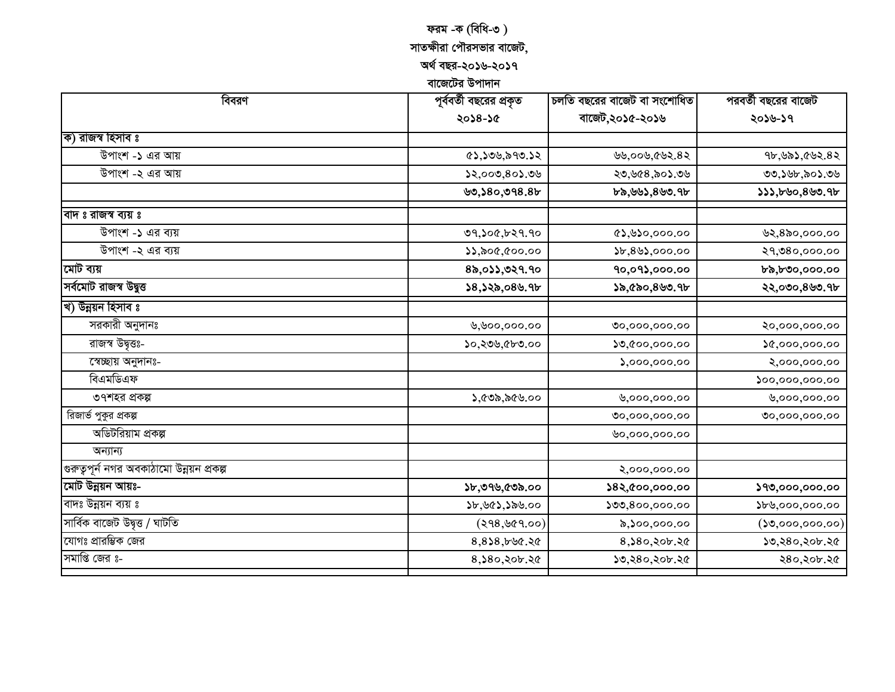# ফরম -ক (বিধি-৩)

## সাতক্ষীরা পৌরসভার বাজেট,

অৰ্থ বছর-২০১৬-২০১৭

বাজেটের উপাদান

| বিবরণ                                     | পূর্ববর্তী বছরের প্রকৃত                       | চলতি বছরের বাজেট বা সংশোধিত | পরবর্তী বছরের বাজেট                     |  |
|-------------------------------------------|-----------------------------------------------|-----------------------------|-----------------------------------------|--|
|                                           | ২০১৪-১৫                                       | বাজেট,২০১৫-২০১৬             | ২০১৬-১৭                                 |  |
| ক) রাজস্ব হিসাব ঃ                         |                                               |                             |                                         |  |
| উপাংশ -১ এর আয়                           | (8), 50, 590.52                               | ৬৬,০০৬,৫৬২.৪২               | ৭৮,৬৯১,৫৬২.৪২                           |  |
| উপাংশ -২ এর আয়                           | 32,000,803.09                                 | ২৩,৬৫৪,৯০১.৩৬               | ৩৩,১৬৮,৯০১.৩৬                           |  |
|                                           | 99,580,998.8                                  | ৮৯,৬৬১,৪৬৩.৭৮               | 333,590,890.95                          |  |
| বাদ ঃ রাজস্ব ব্যয় ঃ                      |                                               |                             |                                         |  |
| উপাংশ -১ এর ব্যয়                         | ७१,১०৫,৮২৭.৭০                                 | $\alpha$ ১,৬১০,০০০.০০       | ७२,४৯०,०००.००                           |  |
| উপাংশ -২ এর ব্যয়                         | $\mathcal{W}, \mathcal{W}, \mathcal{W}$ 00.00 | $\$b,8\&\$$ ,000.00         | २१,७8०,०००.००                           |  |
| মোট ব্যয়                                 | 8৯,০১১,৩২৭.৭০                                 | 90,093,000.00               | ৮৯,৮৩০,০০০.০০                           |  |
| সৰ্বমোট রাজস্ব উদ্বুত্ত                   | ১৪,১২৯,০৪৬.৭৮                                 | ১৯,৫৯০,৪৬৩.৭৮               | ২২,০৩০,৪৬৩.৭৮                           |  |
| খ) উন্নয়ন হিসাব ঃ                        |                                               |                             |                                         |  |
| সরকারী অনুদানঃ                            | ৬,৬০০,০০০.০০                                  | 00,000,000.00               | ২০,০০০,০০০.০০                           |  |
| রাজস্ব উদ্ব্তঃ-                           | ১০,২৩৬,৫৮৩.০০                                 | 0,000,000.00                | 0,000,000.00                            |  |
| স্বেচ্ছায় অনুদানঃ-                       |                                               | 5,000,000.00                | ২,০০০,০০০.০০                            |  |
| বিএমডিএফ                                  |                                               |                             | $\mathcal{S}^{oo},\!oo},\!oo,\!oo,\!oo$ |  |
| ৩৭শহর প্রকল্প                             | ১,৫৩৯,৯৫৬.০০                                  | ৬,०००,०००.००                | ৬,०००,०००.००                            |  |
| রিজার্ভ পুকুর প্রকল্প                     |                                               | 00,000,000.00               | 00,000,000.00                           |  |
| অডিটরিয়াম প্রকল্প                        |                                               | ৬০,০০০,০০০.০০               |                                         |  |
| অন্যান্য                                  |                                               |                             |                                         |  |
| গুরুত্বপূর্ন নগর অবকাঠামো উন্নয়ন প্রকল্প |                                               | ২,০০০,০০০.০০                |                                         |  |
| মোট উন্নয়ন আয়ঃ-                         | ১৮,৩৭৬,৫৩৯.০০                                 | ১৪২,৫০০,০০০.০০              | 599,000,000,00                          |  |
| বাদঃ উন্নয়ন ব্যয় ঃ                      | ১৮,৬৫১,১৯৬.০০                                 | 500,800,000.00              | ১৮৬,০০০,০০০.০০                          |  |
| সাৰ্বিক বাজেট উদ্বত্ত / ঘাটতি             | (298, 669.00)                                 | ৯,১০০,০০০.০০                | $($ ১৩,০০০,০০০.০০ $)$                   |  |
| যোগঃ প্রারম্ভিক জের                       | $8,8$ \$8,bbc.2c                              | 8, ১৪০, ২০৮. ২৫             | ১৩,২৪০,২০৮.২৫                           |  |
| সমাপ্তি জের s-                            | 8, ১৪০, ২০৮. ২৫                               | ১৩,২৪০,২০৮.২৫               | ২৪০,২০৮.২৫                              |  |
|                                           |                                               |                             |                                         |  |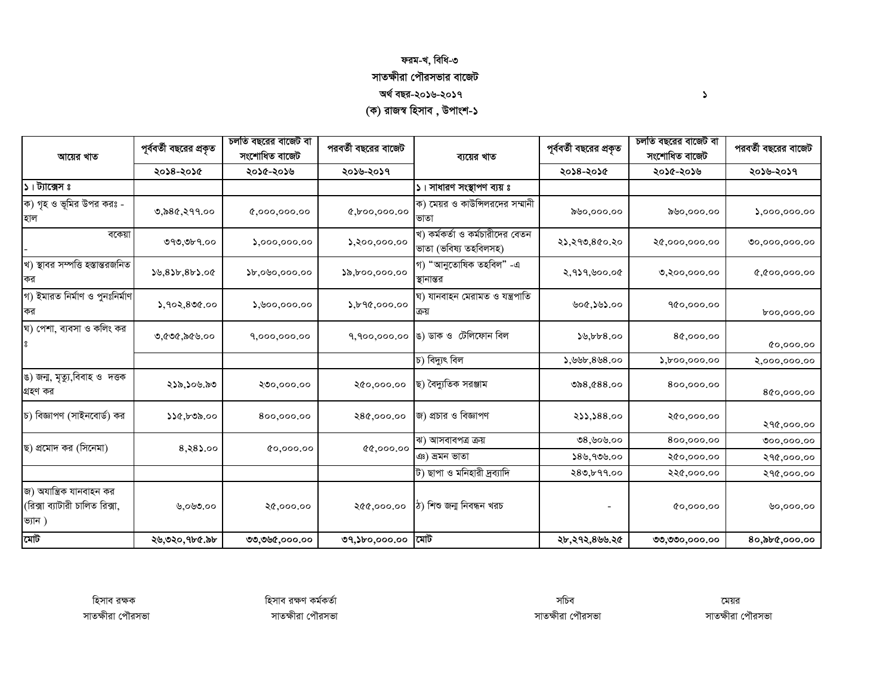### ফরম-খ, বিধি-৩ সাতক্ষীরা পৌরসভার বাজেট অৰ্থ বছর-২০১৬-২০১৭ (ক) রাজস্ব হিসাব , উপাংশ-১

চলতি বছরের বাজেট বা চলতি বছরের বাজেট বা পরবর্তী বছরের বাজেট পূর্ববর্তী বছরের প্রকৃত পরবর্তী বছরের বাজেট পূর্ববর্তী বছরের প্রকৃত সংশোধিত বাজেট সংশোধিত বাজেট আয়ের খাত ব্যয়ের খাত ২০১৪-২০১৫ ২০১৫-২০১৬ ২০১৬-২০১৭ ২০১৪-২০১৫ ২০১৫-২০১৬ ২০১৬-২০১৭ ১। ট্যাক্সেস ঃ ১। সাধারণ সংস্থাপণ ব্যয় ঃ ক) গৃহ ও ভূমির উপর করঃ -ক) মেয়র ও কাউন্সিলরদের সম্মানী ৩,৯৪৫,২৭৭.০০  $0,000,000,00$  $Q, b$ 00,000.00 ৯৬০,০০০.০০ ১৬০,০০০.০০  $5,000,000.00$ ভাতা হাল খ) কর্মকর্তা ও কর্মচারীদের বেতন বকেয়া ৩৭৩,৩৮৭.০০  $5,000,000.00$  $5,000,000.00$ ২১,২৭৩,৪৫০.২০ ২৫,০০০,০০০.০০  $00,000,000.00$ ভাতা (ভবিষ্য তহবিলসহ) খ) স্থাবর সম্পত্তি হস্তান্তরজনিত গ) "আনুতোষিক তহবিল" -এ  $50,855,855.00$  $b,000,000.00$  $\lambda, b$ 00,000.00 ২,৭১৭,৬০০.০৫  $0.000,000,000$ ৩,২০০,০০০.০০ কর স্থানান্তর গ) ইমারত নির্মাণ ও পুনঃনির্মাণ ঘ) যানবাহন মেরামত ও যন্ত্রপাতি  $5,902,800.00$  $0.000,000,00$ 2,690,000.00 ৬০৫,১৬১.০০ 900,000.00 600,000.00 ঘ) পেশা, ব্যবসা ও কলিং কর ঙ) ডাক ও টেলিফোন বিল ৩,৫৩৫,৯৫৬.০০ 9,000,000.00 9,900,000.00  $39.668.00$ 80,000.00  $0,000,00$ চ) বিদ্যুৎ বিল ১,৬৬৮,৪৬৪.০০  $5,000,000.00$ ২,০০০,০০০.০০ ঙ) জন্ম, মৃত্যু,বিবাহ ও দত্তক ছ) বৈদ্যুতিক সরঞ্জাম ২১৯.১০৬.৯৩ ২৩০,০০০.০০ ২৫০,০০০.০০ ৩৯৪,৫৪৪.০০ 800,000.00 গ্ৰহণ কর 800,000.00 চ) বিজ্ঞাপণ (সাইনবোর্ড) কর জ) প্রচার ও বিজ্ঞাপণ 233,388.00 २৫०,०००.०० ১১৫,৮৩৯.০০ 800,000.00 ২৪৫,০০০.০০ २१৫,०००.०० ঝ) আসবাবপত্ৰ ক্ৰয় ৩৪.৬০৬.০০ 800,000.00  $000,000,00$ ছ) প্রমোদ কর (সিনেমা)  $8,88,00$  $00,000,00$  $0.000,00$ ঞ) ভ্ৰমন ভাতা  $$8\%$ , 90 $\$$ .00 ২৫০,০০০.০০ २१৫,०००.०० ট) ছাপা ও মনিহারী দ্রব্যাদি  $280, b99.00$ २२৫,०००.०० २१৫,०००.०० জ) অযান্ত্রিক যানবাহন কর (রিক্সা ব্যাটারী চালিত রিক্সা, ঠ) শিশু জন্ম নিবন্ধন খরচ ৩,০৬৩.০০ ২৫,০০০.০০ ২৫৫,০০০.০০  $0,000,00$  $0,000,00$ ভ্যান) মোট ৩৭,১৮০,০০০.০০ মাট ২৬,৩২০,৭৮৫.৯৮ ৩৩,৩৬৫,০০০.০০ ২৮,২৭২,৪৬৬.২৫ 80,000,000.00 ৩৩,৩৩০,০০০.০০

হিসাব রক্ষক সাতক্ষীরা পৌরসভা হিসাব রক্ষণ কর্মকর্তা

সচিব সাতক্ষীরা পৌরসভা

মেয়র সাতক্ষীরা পৌরসভা

 $\blacktriangleright$ 

সাতক্ষীরা পৌরসভা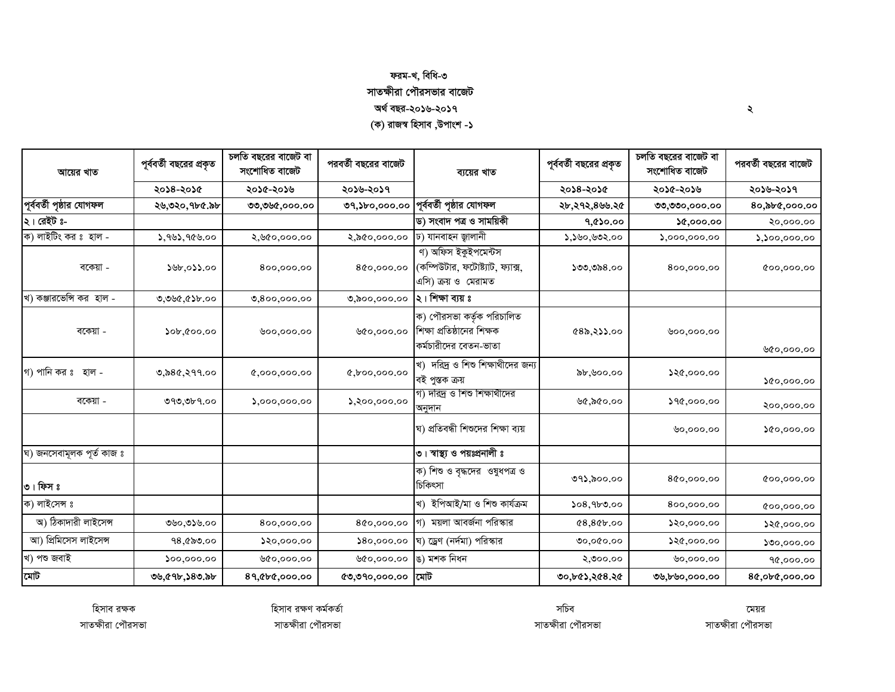## ফরম-খ, বিধি-৩ সাতক্ষীরা পৌরসভার বাজেট

অৰ্থ বছর-২০১৬-২০১৭

(ক) রাজস্ব হিসাব ,উপাংশ -১

| আয়ের খাত                 | পূর্ববর্তী বছরের প্রকৃত    | চলতি বছরের বাজেট বা<br>সংশোধিত বাজেট | পরবর্তী বছরের বাজেট<br>ব্যয়ের খাত | পূর্ববর্তী বছরের প্রকৃত                                                          | চলতি বছরের বাজেট বা<br>সংশোধিত বাজেট | পরবর্তী বছরের বাজেট |               |
|---------------------------|----------------------------|--------------------------------------|------------------------------------|----------------------------------------------------------------------------------|--------------------------------------|---------------------|---------------|
|                           | ২০১৪-২০১৫                  | ২০১৫-২০১৬                            | ২০১৬-২০১৭                          |                                                                                  | ২০১৪-২০১৫                            | ২০১৫-২০১৬           | ২০১৬-২০১৭     |
| পূর্ববর্তী পৃষ্ঠার যোগফল  | ২৬,৩২০,৭৮৫.৯৮              | ৩৩,৩৬৫,০০০.০০                        | 09,560,000.00                      | পূর্ববর্তী পৃষ্ঠার যোগফল                                                         | ২৮,২৭২,৪৬৬.২৫                        | ৩৩,৩৩০,০০০.০০       | 80,000,000.00 |
| ২। রেইট ঃ-                |                            |                                      |                                    | ড) সংবাদ পত্ৰ ও সাময়িকী                                                         | 9,0000                               | 0.000,00            | ২০,০০০.০০     |
| ক) লাইটিং কর ঃ হাল -      | ১,৭৬১,৭৫৬.০০               | ২,৬৫০,০০০.০০                         | ২,৯৫০,০০০.০০                       | ঢ) যানবাহন জ্বালানী                                                              | ১,১৬০,৬৩২.০০                         | 5,000,000.00        | 5,500,000.00  |
| বকেয়া -                  | ১৬৮,০১১.০০                 | 800,000.00                           | 800,000.00                         | ণ) অফিস ইকুইপমেন্টস<br>(কম্পিউটার, ফটোষ্ট্যাট, ফ্যাক্স,<br>এসি) ক্রয় ও  মেরামত  | ১৩৩,৩৯৪.০০                           | 800,000.00          | 00,000,00     |
| খ) কঞ্জারভেন্সি কর হাল -  | ৩,৩৬৫,৫১৮.০০               | 0,800,000.00                         | 0,000,000.00                       | ২। শিক্ষা ব্যয় ঃ                                                                |                                      |                     |               |
| বকেয়া -                  | $\delta$ ob, coo.oo        | 00,000,00                            | ७৫०,०००.००                         | ক) পৌরসভা কর্তৃক পরিচালিত<br>শিক্ষা প্রতিষ্ঠানের শিক্ষক<br>কর্মচারীদের বেতন-ভাতা | 682,83.00                            | ७००,०००.००          | ৬৫০,০০০.০০    |
| গ) পানি কর ঃ হাল -        | ৩,৯৪৫,২৭৭.০০               | 0,000,000,00                         | 0,000,000.00                       | খ) দরিদ্র ও শিশু শিক্ষাথীদের জন্য<br>বই পুস্তক ক্ৰয়                             | ৯৮,৬০০.০০                            | ১২৫,০০০.০০          | 00,000.00     |
| বকেয়া -                  | ৩৭৩,৩৮৭.০০                 | $\mathcal{S},\mathcal{O}$ 00,000.00  | $\lambda,$ २००,०००.००              | গ) দারদ্র ও শিশু শিক্ষার্থীদের<br>অনুদান                                         | ৬৫,৯৫০.০০                            | 290,000.00          | ২০০,০০০.০০    |
|                           |                            |                                      |                                    | ঘ) প্রতিবন্ধী শিশুদের শিক্ষা ব্যয়                                               |                                      | 0,000,00            | 0,000,00      |
| ঘ) জনসেবামূলক পূৰ্ত কাজ ঃ |                            |                                      |                                    | ৩। স্বাস্থ্য ও পয়ঃপ্রনালী ঃ                                                     |                                      |                     |               |
| ৩। ফিস ঃ                  |                            |                                      |                                    | ক) শিশু ও বৃদ্ধদের ওষুধপত্র ও<br>চিকিৎসা                                         | ৩৭১,৯০০.০০                           | 800,000.00          | 00,000.00     |
| ক) লাইসেন্স ঃ             |                            |                                      |                                    | খ) ইপিআই/মা ও শিশু কাৰ্যক্ৰম                                                     | 508,950.00                           | 800,000.00          | 00,000.00     |
| অ) ঠিকাদারী লাইসেন্স      | ৩৬০,৩১৬.০০                 | 800,000.00                           | 800,000.00                         | ময়লা আবর্জনা পরিস্কার<br>গ)                                                     | 0.8866.00                            | 80,000.00           | ১২৫,০০০.০০    |
| আ) প্ৰিমিসেস লাইসেন্স     | 98,000                     | 20,000.00                            | 80,000.00                          | ঘ) ড্রেণ (নর্দমা) পরিস্কার                                                       | 00,000.00                            | ১২৫,০০০.০০          | 500,000.00    |
| খ) পশু জবাই               | $\mathfrak{so}_{2}$ 000.00 | ৬৫০,০০০.০০                           | ७৫०,०००.००                         | ঙ) মশক নিধন                                                                      | ২,৩০০.০০                             | 0,000.00            | 90,000.00     |
| মোট                       | ৩৬,৫৭৮,১৪৩.৯৮              | 89, Cbc,000.00                       | (0, 00, 000, 00)                   | মোট                                                                              | ৩০,৮৫১,২৫৪.২৫                        | ৩৬,৮৬০,০০০.০০       | 80,060,000.00 |

হিসাব রক্ষক সাতক্ষীরা পৌরসভা হিসাব রক্ষণ কর্মকর্তা সাতক্ষীরা পৌরসভা

সচিব সাতক্ষীরা পৌরসভা

মেয়র সাতক্ষীরা পৌরসভা

 $\mathcal{L}_{\mathcal{A}}$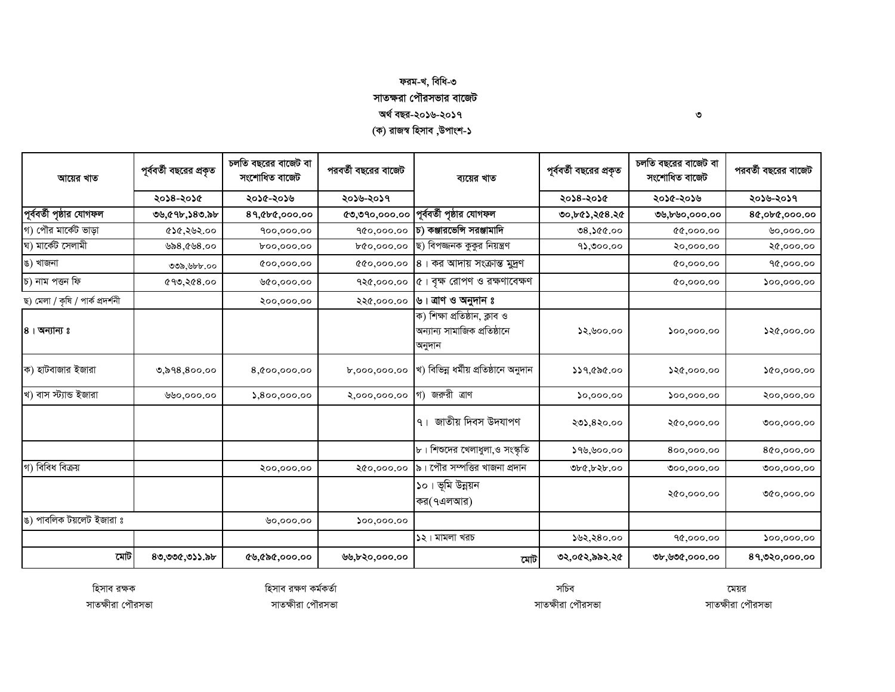## ফরম-খ, বিধি-৩ সাতক্ষরা পৌরসভার বাজেট অৰ্থ বছর-২০১৬-২০১৭

(ক) রাজস্ব হিসাব ,উপাংশ-১

| আয়ের খাত                        | পূর্ববর্তী বছরের প্রকৃত | চলতি বছরের বাজেট বা<br>সংশোধিত বাজেট | পরবর্তী বছরের বাজেট | ব্যয়ের খাত                                                             | পূর্ববর্তী বছরের প্রকৃত | চলতি বছরের বাজেট বা<br>সংশোধিত বাজেট                 | পরবর্তী বছরের বাজেট         |
|----------------------------------|-------------------------|--------------------------------------|---------------------|-------------------------------------------------------------------------|-------------------------|------------------------------------------------------|-----------------------------|
|                                  | ২০১৪-২০১৫               | ২০১৫-২০১৬                            | ২০১৬-২০১৭           |                                                                         | ২০১৪-২০১৫               | ২০১৫-২০১৬                                            | ২০১৬-২০১৭                   |
| পূর্ববর্তী পৃষ্ঠার যোগফল         | ৩৬,৫৭৮,১৪৩.৯৮           | 89, Cbc,000.00                       | (0, 00, 000, 000)   | পূর্ববর্তী পৃষ্ঠার যোগফল                                                | ৩০,৮৫১,২৫৪.২৫           | ৩৬,৮৬০,০০০.০০                                        | 80,060,000.00               |
| গ) পৌর মার্কেট ভাড়া             | ৫১৫,২৬২.০০              | 900,000.00                           | 900,000.00          | চ) কঞ্জারভেন্সি সরঞ্জামাদি                                              | 08,000.00               | 00,000,00                                            | 0,000.00                    |
| ঘ) মার্কেট সেলামী                | ৬৯৪,৫৬৪.০০              | 60,000.00                            | b&0,000.00          | ছ) বিপজ্জনক কুকুর নিয়ন্ত্রণ                                            | 95,000.00               | ২০,০০০.০০                                            | ২৫,০০০.০০                   |
| ঙ) খাজনা                         | ৩৩৯,৬৮৮.০০              | 00,000,00                            | 00,000.00           | 8। কর আদায় সংক্রান্ত মুদ্রণ                                            |                         | 0,000,00                                             | 90,000.00                   |
| চ) নাম পত্তন ফি                  | 0.895,000               | ৬৫০,০০০.০০                           | १२৫,०००.००          | ৫। বৃক্ষ রোপণ ও রক্ষণাবেক্ষণ                                            |                         | 0,000,00                                             | 500,000.00                  |
| ছ) মেলা / কৃষি / পাৰ্ক প্ৰদৰ্শনী |                         | २००,०००.००                           | २२৫,०००.००          | ৬। ত্রাণ ও অনুদান ঃ                                                     |                         |                                                      |                             |
| $8$ । অন্যান্য ঃ                 |                         |                                      |                     | ক) শিক্ষা প্রতিষ্ঠান, ক্লাব ও<br>অন্যান্য সামাজিক প্ৰতিষ্ঠানে<br>অনুদান | ১২,৬০০.০০               | 500,000.00                                           | ১২৫,০০০.০০                  |
| ক) হাটবাজার ইজারা                | ৩,৯৭৪,৪০০.০০            | 8,000,000.00                         | b,000,000.00        | খ) বিভিন্ন ধৰ্মীয় প্ৰতিষ্ঠানে অনুদান                                   | 229,000                 | 280,000.00                                           | 00,000.00                   |
| খ) বাস স্ট্যান্ড ইজারা           | ৬৬০,০০০.০০              | 5,800,000.00                         | ২,০০০,০০০.০০        | গ) জরুরী ত্রাণ                                                          | 50,000.00               | $\mathcal{S}^{oo},\mathcal{O}^{oo},\mathcal{O}^{oo}$ | ২০০,০০০.০০                  |
|                                  |                         |                                      |                     | জাতীয় দিবস উদযাপণ<br>9 <sub>1</sub>                                    | ২৩১,৪২০.০০              | ২৫০,০০০.০০                                           | 000,000.00                  |
|                                  |                         |                                      |                     | $\mathbf{b}$ । শিশুদের খেলাধুলা,ও সংস্কৃতি                              | ১৭৬,৬০০.০০              | 800,000.00                                           | 800,000.00                  |
| গ) বিবিধ বিক্রয়                 |                         | ২০০,০০০.০০                           | ২৫০,০০০.০০          | ৯। পৌর সম্পত্তির খাজনা প্রদান                                           | ৩৮৫,৮২৮.০০              | 000,000.00                                           | 000,000.00                  |
|                                  |                         |                                      |                     | ১০। ভূমি উন্নয়ন<br>কর(৭এলআর)                                           |                         | ২৫০,০০০.০০                                           | ৩৫০,০০০.০০                  |
| ঙ) পাবলিক টয়লেট ইজারা ঃ         |                         | 0,000,00                             | 00,000,00           |                                                                         |                         |                                                      |                             |
|                                  |                         |                                      |                     | ১২। মামলা খরচ                                                           | ১৬২,২৪০.০০              | 90,000.00                                            | $\mathfrak{so}_{2}$ ,000.00 |
| মোট                              | ৪৩,৩৩৫,৩১১.৯৮           | ৫৬,৫৯৫,০০০.০০                        | ৬৬,৮২০,০০০.০০       | মোট                                                                     | ৩২,০৫২,৯৯২.২৫           | ৩৮,৬৩৫,০০০.০০                                        | 89,020,000.00               |

হিসাব রক্ষক সাতক্ষীরা পৌরসভা হিসাব রক্ষণ কর্মকর্তা

সচিব

মেয়র সাতক্ষীরা পৌরসভা

 $\circ$ 

সাতক্ষীরা পৌরসভা

সাতক্ষীরা পৌরসভা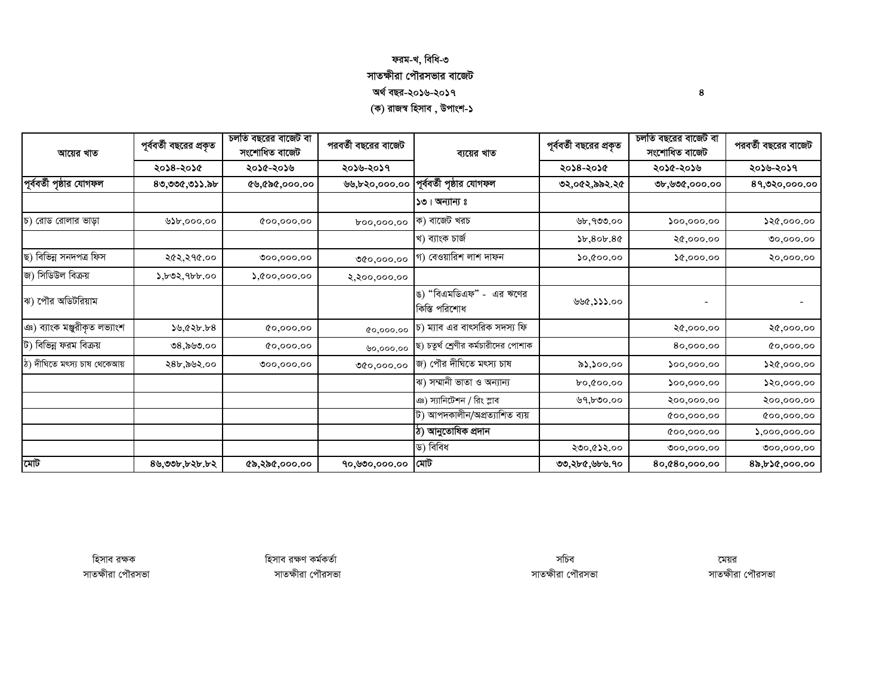#### ফরম-খ, বিধি-৩ সাতক্ষীরা পৌরসভার বাজেট অৰ্থ বছর-২০১৬-২০১৭ (ক) রাজস্ব হিসাব , উপাংশ-১

চলতি বছরের বাজেট বা চলতি বছরের বাজেট বা পূর্ববর্তী বছরের প্রকৃত পরবর্তী বছরের বাজেট পূর্ববর্তী বছরের প্রকৃত পরবর্তী বছরের বাজেট সংশোধিত বাজেট সংশোধিত বাজেট আয়ের খাত ব্যয়ের খাত ২০১৪-২০১৫ ২০১৫-২০১৬ ২০১৬-২০১৭ ২০১৪-২০১৫ ২০১৫-২০১৬ ২০১৬-২০১৭ পূর্ববর্তী পৃষ্ঠার যোগফল পূর্ববর্তী পৃষ্ঠার যোগফল  $80,000,033,55$ ৬৬.৮২০.০০০.০০ ৩২.০৫২.৯৯২.২৫ ৩৮,৬৩৫,০০০,০০ 89.020.000.00  $501$  অন্যান্য ঃ ক) বাজেট খরচ চ) রোড রোলার ভাডা  $520.000.00$  $000000$  $00,000,000$ ৬৮,৭৩৩.০০  $500,000,00$ 00,000,000 খ) ব্যাংক চাৰ্জ  $b.80b.80$  $20,000,00$  $00,000,00$ ছ) বিভিন্ন সনদপত্ৰ ফিস २৫२,२१৫.०० গ) বেওয়ারিশ লাশ দাফন  $0.00000$  $0.000, 00$ ২০,০০০.০০  $000,000,00$ 00,000,00 জ) সিডিউল বিক্রয়  $\lambda, b$ ৩২, 9 $b$ b.00  $\lambda$ , ( $\circ$ 00,000.00 २,२००,०००.०० ঙ) "বিএমডিএফ" - এর ঋণের ঝ) পৌর অডিটরিয়াম ৬৬৫,১১১.০০  $\blacksquare$  $\blacksquare$ কিস্তি পরিশোধ ঞ) ব্যাংক মঞ্জুরীকৃত লভ্যাংশ চ) ম্যাব এর বাৎসরিক সদস্য ফি  $39,625.58$  $0,000,00$ २৫,०००.०० ২৫,০০০.০০ 00,000.00 ট) বিভিন্ন ফরম বিক্রয় ছ) চতুর্থ শ্রেণীর কর্মচারীদের পোশাক **೨**8.ನಿ೬**ಲ**.೦೦  $0.000,00$ 80,000,00 00,000,00 ৬০,০০০,০০ জ) পৌর দীঘিতে মৎস্য চাষ ঠ) দীঘিতে মৎস্য চাষ থেকেআয় ২৪৮,৯৬২.০০  $000,000,00$  $82.300.00$  $500,000.00$  $520,000.00$  $00,000,000$ ঝ) সম্মানী ভাতা ও অন্যান্য 60,000,00  $500,000,00$  $550,000.00$ ঞ) স্যানিটেশন / রিং স্লাব  $0.000, 000$ ২০০,০০০.০০ ২০০,০০০.০০ ট) আপদকালীন/অপ্ৰত্যাশিত ব্যয়  $000,000,00$ 000,000.00 ঠ) আনুতোষিক প্ৰদান  $00,000,000$  $5,000,000.00$ ড) বিবিধ ২৩০.৫১২.০০  $000,000,00$  $000,000,00$  $90,000,000$  মাট মোট  $89,995,695.62$  $6,886,000,00$ ৩৩,২৮৫,৬৮৬,৭০ 80,080,000,00 82,630,000.00

হিসাব রক্ষক সাতক্ষীরা পৌরসভা হিসাব রক্ষণ কর্মকর্তা সাতক্ষীরা পৌরসভা

সচিব সাতক্ষীরা পৌরসভা

মেয়র সাতক্ষীরা পৌরসভা

8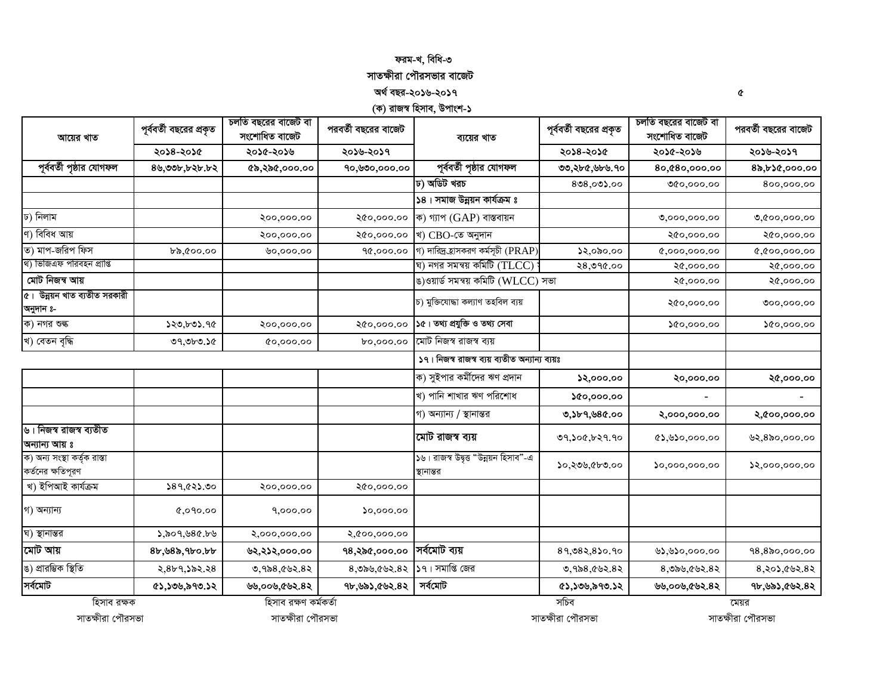#### ফরম-খ, বিধি-৩

## সাতক্ষীরা পৌরসভার বাজেট

অৰ্থ বছর-২০১৬-২০১৭

(ক) রাজস্ব হিসাব, উপাংশ-১

 $\mathbf{\hat{C}}$ 

| আয়ের খাত                                         | পূর্ববর্তী বছরের প্রকৃত | চলতি বছরের বাজেট বা<br>সংশোধিত বাজেট | পরবর্তী বছরের বাজেট                                                                                                                                                                                                                                                                                                                                                                                                                                                                                                                                                                                                                                                                                                                                                                                                                                                                                                                                                                                                                                                                                                                                                                                                                                                                                                                                            | ব্যয়ের খাত | পূর্ববর্তী বছরের প্রকৃত | সংশোধিত বাজেট | পরবর্তী বছরের বাজেট |
|---------------------------------------------------|-------------------------|--------------------------------------|----------------------------------------------------------------------------------------------------------------------------------------------------------------------------------------------------------------------------------------------------------------------------------------------------------------------------------------------------------------------------------------------------------------------------------------------------------------------------------------------------------------------------------------------------------------------------------------------------------------------------------------------------------------------------------------------------------------------------------------------------------------------------------------------------------------------------------------------------------------------------------------------------------------------------------------------------------------------------------------------------------------------------------------------------------------------------------------------------------------------------------------------------------------------------------------------------------------------------------------------------------------------------------------------------------------------------------------------------------------|-------------|-------------------------|---------------|---------------------|
|                                                   | ২০১৪-২০১৫               | ২০১৫-২০১৬                            | চলতি বছরের বাজেট বা<br>২০১৬-২০১৭<br>২০১৪-২০১৫<br>২০১৫-২০১৬<br>পূর্ববর্তী পৃষ্ঠার যোগফল<br>90,000,000.00<br>৩৩,২৮৫,৬৮৬.৭০<br>80,080,000.00<br>ঢ) অডিট খরচ<br>$808,00$ ).00<br>৩৫০,০০০.০০<br>১৪। সমাজ উন্নয়ন কাৰ্যক্ৰম ঃ<br>ক) গ্যাপ $(GAP)$ বাস্তবায়ন<br>২০০,০০০.০০<br>২৫০,০০০.০০<br>0,000,000.00<br>খ) CBO-তে অনুদান<br>২৫০,০০০.০০<br>২০০,০০০.০০<br>২৫০,০০০.০০<br>গ) দারিদ্র হাসকরণ কর্মসূচী (PRAP)<br>32,000.00<br>90,000.00<br>৬০,০০০.০০<br>0,000,000,00<br>ঘ) নগর সমন্বয় কমিটি $(\mathrm{TLCC})$ :<br>২৪,৩৭৫.০০<br>২৫,০০০.০০<br>ঙ)ওয়ার্ড সমন্বয় কমিটি (WLCC) সভা<br>২৫,০০০.০০<br>চ) মুক্তিযোদ্ধা কল্যাণ তহবিল ব্যয়<br>২৫০,০০০.০০<br>১৫। তথ্য প্রযুক্তি ও তথ্য সেবা<br>২০০,০০০.০০<br>২৫০,০০০.০০<br>00,000.00<br>মোট নিজস্ব রাজস্ব ব্যয়<br>0,000,00<br>60,000.00<br>১৭। নিজস্ব রাজস্ব ব্যয় ব্যতীত অন্যান্য ব্যয়ঃ<br>ক) সুইপার কর্মীদের ঋণ প্রদান<br>32,000.00<br>২০,০০০.০০<br>খ) পানি শাখার ঋণ পরিশোধ<br>0.000,00<br>গ) অন্যান্য / স্থানান্তর<br>0,3b9,980.00<br>২,০০০,০০০.০০<br>মোট রাজস্ব ব্যয়<br>৩৭,১০৫,৮২৭.৭০<br>$(8), 8$ ১০,০০০.০০<br>১৬। রাজস্ব উদ্বৃত্ত "উন্নয়ন হিসাব"-এ<br>১০,২৩৬,৫৮৩.০০<br>50,000,000.00<br>স্থানান্তর<br>২০০,০০০.০০<br>২৫০,০০০.০০<br>50,000.00<br>9,000.00<br>২,৫০০,০০০.০০<br>সৰ্বমোট ব্যয়<br>१८,२৯৫,०००.००<br>89,082,850.90<br>৬১,৬১০,০০০.০০<br>১৭। সমাপ্তি জের<br>8,080,002.82<br>৩,৭৯৪,৫৬২.৪২<br>$8,0$ ৯৬,৫৬২. $8$ ২ | ২০১৬-২০১৭   |                         |               |                     |
| পূর্ববর্তী পৃষ্ঠার যোগফল                          | ৪৬,৩৩৮,৮২৮.৮২           | ৫৯,২৯৫,০০০.০০                        |                                                                                                                                                                                                                                                                                                                                                                                                                                                                                                                                                                                                                                                                                                                                                                                                                                                                                                                                                                                                                                                                                                                                                                                                                                                                                                                                                                |             |                         |               | 85,620,000.00       |
|                                                   |                         |                                      |                                                                                                                                                                                                                                                                                                                                                                                                                                                                                                                                                                                                                                                                                                                                                                                                                                                                                                                                                                                                                                                                                                                                                                                                                                                                                                                                                                |             |                         |               | 800,000.00          |
|                                                   |                         |                                      |                                                                                                                                                                                                                                                                                                                                                                                                                                                                                                                                                                                                                                                                                                                                                                                                                                                                                                                                                                                                                                                                                                                                                                                                                                                                                                                                                                |             |                         |               |                     |
| ঢ) নিলাম                                          |                         |                                      |                                                                                                                                                                                                                                                                                                                                                                                                                                                                                                                                                                                                                                                                                                                                                                                                                                                                                                                                                                                                                                                                                                                                                                                                                                                                                                                                                                |             |                         |               | 0,000,000.00        |
| ণ) বিবিধ আয়                                      |                         |                                      |                                                                                                                                                                                                                                                                                                                                                                                                                                                                                                                                                                                                                                                                                                                                                                                                                                                                                                                                                                                                                                                                                                                                                                                                                                                                                                                                                                |             |                         |               | ২৫০,০০০.০০          |
| ত) মাপ-জরিপ ফিস                                   | ৮৯,৫০০.০০               |                                      |                                                                                                                                                                                                                                                                                                                                                                                                                                                                                                                                                                                                                                                                                                                                                                                                                                                                                                                                                                                                                                                                                                                                                                                                                                                                                                                                                                |             |                         |               | 0,000,000,00        |
| থ) ভিজিএফ পরিবহন প্রাপ্তি                         |                         |                                      |                                                                                                                                                                                                                                                                                                                                                                                                                                                                                                                                                                                                                                                                                                                                                                                                                                                                                                                                                                                                                                                                                                                                                                                                                                                                                                                                                                |             |                         |               | ২৫,০০০.০০           |
| মোট নিজন্ব আয়                                    |                         |                                      |                                                                                                                                                                                                                                                                                                                                                                                                                                                                                                                                                                                                                                                                                                                                                                                                                                                                                                                                                                                                                                                                                                                                                                                                                                                                                                                                                                |             |                         |               | ২৫,০০০.০০           |
| ৫। উন্নয়ন খাত ব্যতীত সরকারী<br>অনুদান ঃ-         |                         |                                      |                                                                                                                                                                                                                                                                                                                                                                                                                                                                                                                                                                                                                                                                                                                                                                                                                                                                                                                                                                                                                                                                                                                                                                                                                                                                                                                                                                |             |                         |               | 000,000.00          |
| ক) নগর শুল্ক                                      | 520,505.90              |                                      |                                                                                                                                                                                                                                                                                                                                                                                                                                                                                                                                                                                                                                                                                                                                                                                                                                                                                                                                                                                                                                                                                                                                                                                                                                                                                                                                                                |             |                         |               | 00,000.00           |
| খ) বেতন বৃদ্ধি                                    | ৩৭,৩৮৩.১৫               |                                      |                                                                                                                                                                                                                                                                                                                                                                                                                                                                                                                                                                                                                                                                                                                                                                                                                                                                                                                                                                                                                                                                                                                                                                                                                                                                                                                                                                |             |                         |               |                     |
|                                                   |                         |                                      |                                                                                                                                                                                                                                                                                                                                                                                                                                                                                                                                                                                                                                                                                                                                                                                                                                                                                                                                                                                                                                                                                                                                                                                                                                                                                                                                                                |             |                         |               |                     |
|                                                   |                         |                                      |                                                                                                                                                                                                                                                                                                                                                                                                                                                                                                                                                                                                                                                                                                                                                                                                                                                                                                                                                                                                                                                                                                                                                                                                                                                                                                                                                                |             |                         |               | ২৫,০০০.০০           |
|                                                   |                         |                                      |                                                                                                                                                                                                                                                                                                                                                                                                                                                                                                                                                                                                                                                                                                                                                                                                                                                                                                                                                                                                                                                                                                                                                                                                                                                                                                                                                                |             |                         |               |                     |
|                                                   |                         |                                      |                                                                                                                                                                                                                                                                                                                                                                                                                                                                                                                                                                                                                                                                                                                                                                                                                                                                                                                                                                                                                                                                                                                                                                                                                                                                                                                                                                |             |                         |               | ২,৫০০,০০০.০০        |
| ৬। নিজস্ব রাজস্ব ব্যতীত<br>অন্যান্য আয় ঃ         |                         |                                      |                                                                                                                                                                                                                                                                                                                                                                                                                                                                                                                                                                                                                                                                                                                                                                                                                                                                                                                                                                                                                                                                                                                                                                                                                                                                                                                                                                |             |                         |               | ७२,८৯०,०००.००       |
| ক) অন্য সংস্থা কৰ্তৃক রাস্তা<br>কর্তনের ক্ষতিপূরণ |                         |                                      |                                                                                                                                                                                                                                                                                                                                                                                                                                                                                                                                                                                                                                                                                                                                                                                                                                                                                                                                                                                                                                                                                                                                                                                                                                                                                                                                                                |             |                         |               | 2,000,000.00        |
| খ) ইপিআই কাৰ্যক্ৰম                                | 289,022.00              |                                      |                                                                                                                                                                                                                                                                                                                                                                                                                                                                                                                                                                                                                                                                                                                                                                                                                                                                                                                                                                                                                                                                                                                                                                                                                                                                                                                                                                |             |                         |               |                     |
| গ) অন্যান্য                                       | 0,090,00                |                                      |                                                                                                                                                                                                                                                                                                                                                                                                                                                                                                                                                                                                                                                                                                                                                                                                                                                                                                                                                                                                                                                                                                                                                                                                                                                                                                                                                                |             |                         |               |                     |
| ঘ) স্থানান্তর                                     | ১,৯০৭,৬৪৫.৮৬            | ২,০০০,০০০.০০                         |                                                                                                                                                                                                                                                                                                                                                                                                                                                                                                                                                                                                                                                                                                                                                                                                                                                                                                                                                                                                                                                                                                                                                                                                                                                                                                                                                                |             |                         |               |                     |
| মোট আয়                                           | 8b,98b,9b0.bb           | ৬২,২১২,০০০.০০                        |                                                                                                                                                                                                                                                                                                                                                                                                                                                                                                                                                                                                                                                                                                                                                                                                                                                                                                                                                                                                                                                                                                                                                                                                                                                                                                                                                                |             |                         |               | 98,820,000.00       |
| ঙ) প্ৰাৱম্ভিক স্থিতি                              | २,८४१,১৯২.২৪            | ৩,৭৯৪,৫৬২.৪২                         |                                                                                                                                                                                                                                                                                                                                                                                                                                                                                                                                                                                                                                                                                                                                                                                                                                                                                                                                                                                                                                                                                                                                                                                                                                                                                                                                                                |             |                         |               | $8,80$ , $602.82$   |
| সৰ্বমোট                                           | ৫১,১৩৬,৯৭৩.১২           | ৬৬,০০৬,৫৬২.৪২                        | ৭৮,৬৯১,৫৬২.৪২                                                                                                                                                                                                                                                                                                                                                                                                                                                                                                                                                                                                                                                                                                                                                                                                                                                                                                                                                                                                                                                                                                                                                                                                                                                                                                                                                  | সৰ্বমোট     | ৫১,১৩৬,৯৭৩.১২           | ৬৬,০০৬,৫৬২.৪২ | ৭৮,৬৯১,৫৬২.৪২       |
| হিসাব রক্ষক                                       |                         | হিসাব রক্ষণ কর্মকর্তা                |                                                                                                                                                                                                                                                                                                                                                                                                                                                                                                                                                                                                                                                                                                                                                                                                                                                                                                                                                                                                                                                                                                                                                                                                                                                                                                                                                                |             | সচিব                    |               | মেয়র               |
| সাতক্ষীরা পৌরসভা                                  |                         | সাতক্ষীরা পৌরসভা                     |                                                                                                                                                                                                                                                                                                                                                                                                                                                                                                                                                                                                                                                                                                                                                                                                                                                                                                                                                                                                                                                                                                                                                                                                                                                                                                                                                                |             | সাতক্ষীরা পৌরসভা        |               | সাতক্ষীরা পৌরসভা    |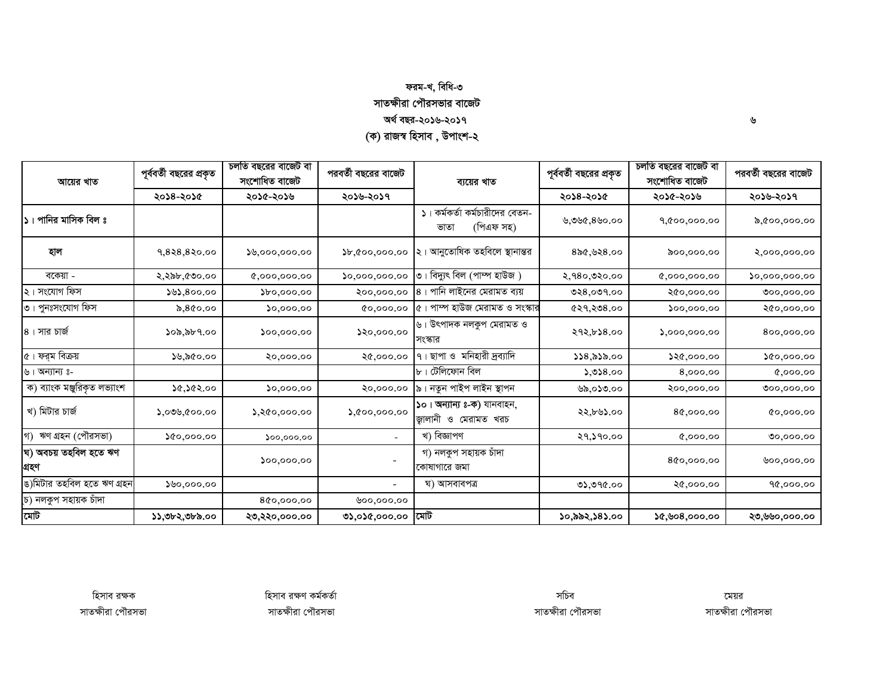## ফরম-খ, বিধি-৩ সাতক্ষীরা পৌরসভার বাজেট অৰ্থ বছর-২০১৬-২০১৭ (ক) রাজস্ব হিসাব , উপাংশ-২

| আয়ের খাত                      | পূর্ববর্তী বছরের প্রকৃত | চলতি বছরের বাজেট বা<br>পরবর্তী বছরের বাজেট<br>সংশোধিত বাজেট |                          | ব্যয়ের খাত                                         | পূর্ববর্তী বছরের প্রকৃত | চলতি বছরের বাজেট বা<br>সংশোধিত বাজেট                 | পরবর্তী বছরের বাজেট        |
|--------------------------------|-------------------------|-------------------------------------------------------------|--------------------------|-----------------------------------------------------|-------------------------|------------------------------------------------------|----------------------------|
|                                | ২০১৪-২০১৫               | ২০১৫-২০১৬                                                   | ২০১৬-২০১৭                |                                                     | ২০১৪-২০১৫               | ২০১৫-২০১৬                                            | ২০১৬-২০১৭                  |
| ১। পানির মাসিক বিল ঃ           |                         |                                                             |                          | ১। কর্মকর্তা কর্মচারীদের বেতন-<br>(পিএফ সহ)<br>ভাতা | ৬,৩৬৫,৪৬০.০০            | 9,000,000.00                                         | ৯,৫০০,০০০.০০               |
| হাল                            | 9,828,820.00            | 8,000,000.00                                                | b,000,000.00             | ২। আনুতোষিক তহবিলে স্থানান্তর                       | $8$ ৯৫,৬২৪.০০           | 00,000,00                                            | ২,০০০,০০০.০০               |
| বকেয়া -                       | ২,২৯৮,৫৩০.০০            | 0,000,000.00                                                | 0,000,000.00             | $\circ$ । বিদ্যুৎ বিল (পাম্প হাউজ )                 | ২,৭৪০,৩২০.০০            | 0,000,000.00                                         | $\mathcal{L}$ 0,000,000.00 |
| ২। সংযোগ ফিস                   | 50,800.00               | $\mathcal{V}^{o, oo, oo}$                                   | २००,०००.००               | $8$ । পানি লাইনের মেরামত ব্যয়                      | ৩২৪,০৩৭.০০              | ২৫০,০০০.০০                                           | 000,000.00                 |
| ৩। পুনঃসংযোগ ফিস               | ৯,৪৫০.০০                | 0,000,00                                                    | 0,000,00                 | ৫। পাম্প হাউজ মেরামত ও সংস্কার                      | 0.808,00                | $\mathcal{S}^{oo},\mathcal{O}^{oo},\mathcal{O}^{oo}$ | ২৫০,০০০.০০                 |
| ৪। সার চার্জ                   | ১০৯,৯৮৭.০০              | $\mathfrak{so}_{0,000,00}$                                  | 80,000.00                | ৬। উৎপাদক নলকুপ মেরামত ও<br>সংস্কার                 | ২৭২,৮১৪.০০              | 5,000,000.00                                         | 800,000.00                 |
| $\alpha$ । ফর্ম বিক্রয়        | ১৬,৯৫০.০০               | 80,000,00                                                   | ২৫,০০০.০০                | ৭। ছাপা ও মনিহারী দ্রব্যাদি                         | 558,8500                | 220,000,00                                           | 00,000.00                  |
| ৬। অন্যান্য ঃ-                 |                         |                                                             |                          | $\mathbf{b}$ । টেলিফোন বিল                          | 5,028.00                | 8,000.00                                             | 0,000,00                   |
| ক) ব্যাংক মঞ্জুরিকৃত লভ্যাংশ   | ১৫,১৫২.০০               | 0,000,00                                                    | ২০,০০০.০০                | ৯। নতুন পাইপ লাইন স্থাপন                            | ৬৯,০১৩.০০               | ২০০,০০০.০০                                           | 000,000.00                 |
| খ) মিটার চার্জ                 | ১,০৩৬,৫০০.০০            | $\lambda$ ,২৫০,০০০.০০                                       | $\lambda$ , (too, 000.00 | ১০। অন্যান্য ঃ-ক) যানবাহন,<br>জ্বালানী ও মেরামত খরচ | ২২,৮৬১.০০               | 80,000.00                                            | 0,000,00                   |
| গ) ঋণ গ্ৰহন (পৌরসভা)           | 0.0000                  | 00,000,00                                                   |                          | খ) বিজ্ঞাপণ                                         | २१,১१०.००               | 0.000, 00                                            | 00,000,00                  |
| ঘ) অবচয় তহবিল হতে ঋণ<br>গ্ৰহণ |                         | $\mathfrak{so}_{2}$ 000.00                                  |                          | গ) নলকুপ সহায়ক চাঁদা<br>কোষাগারে জমা               |                         | 800,000.00                                           | 00,000,00                  |
| ঙ)মিটার তহবিল হতে ঋণ গ্রহন     | 80,000.00               |                                                             | $\overline{\phantom{a}}$ | ঘ) আসবাবপত্ৰ                                        | ৩১,৩৭৫.০০               | ২৫,০০০.০০                                            | 90,000.00                  |
| চ) নলকুপ সহায়ক চাঁদা          |                         | 800,000.00                                                  | 00,000,00                |                                                     |                         |                                                      |                            |
| মোট                            | ১১,৩৮২,৩৮৯.০০           | ২৩,২২০,০০০.০০                                               | ৩১,০১৫,০০০.০০            | মোট                                                 | ১০,৯৯২,১৪১.০০           | 20,908,000.00                                        | ২৩,৬৬০,০০০.০০              |

 $\mathbf{\hat{v}}$ 

হিসাব রক্ষক সাতক্ষীরা পৌরসভা

সচিব সাতক্ষীরা পৌরসভা

মেয়র সাতক্ষীরা পৌরসভা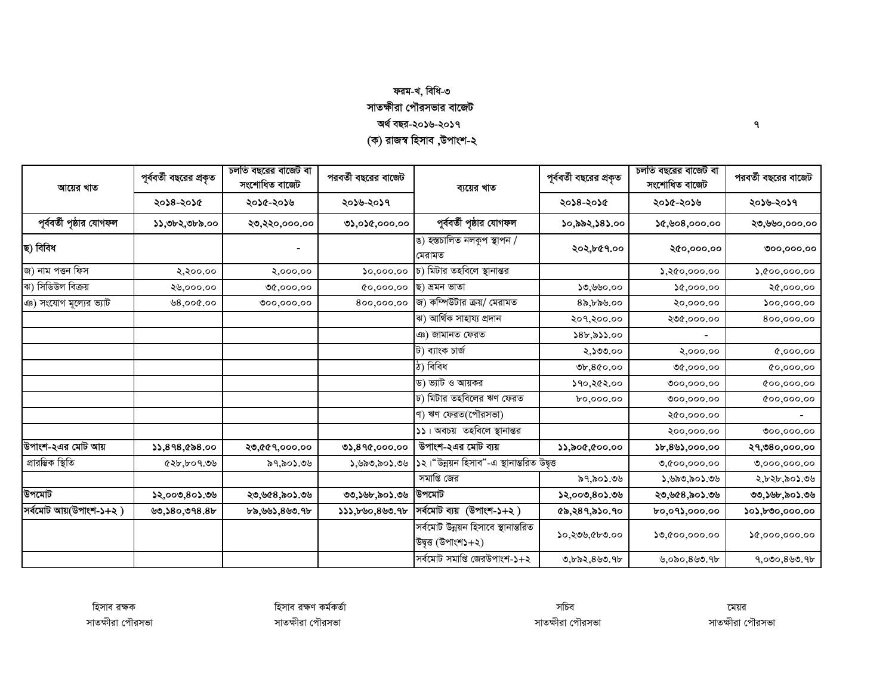## ফরম-খ, বিধি-৩ সাতক্ষীরা পৌরসভার বাজেট অৰ্থ বছর-২০১৬-২০১৭ (ক) রাজস্ব হিসাব ,উপাংশ-২

| আয়ের খাত                | পূর্ববর্তী বছরের প্রকৃত | চলতি বছরের বাজেট বা<br>সংশোধিত বাজেট | পরবর্তী বছরের বাজেট | ব্যয়ের খাত                                                                      | পূর্ববর্তী বছরের প্রকৃত | চলতি বছরের বাজেট বা<br>সংশোধিত বাজেট | পরবর্তী বছরের বাজেট    |
|--------------------------|-------------------------|--------------------------------------|---------------------|----------------------------------------------------------------------------------|-------------------------|--------------------------------------|------------------------|
|                          | ২০১৪-২০১৫               | ২০১৫-২০১৬                            | ২০১৬-২০১৭           |                                                                                  | ২০১৪-২০১৫               | ২০১৫-২০১৬                            | ২০১৬-২০১৭              |
| পূর্ববর্তী পৃষ্ঠার যোগফল | ১১,৩৮২,৩৮৯.০০           | ২৩,২২০,০০০.০০                        | ৩১,০১৫,০০০.০০       | পূর্ববর্তী পৃষ্ঠার যোগফল                                                         | ১০,৯৯২,১৪১.০০           | ১৫,৬০৪,০০০.০০                        | ২৩,৬৬০,০০০.০০          |
| ছ) বিবিধ                 |                         |                                      |                     | ঙ) হস্তচালিত নলকুপ স্থাপন /<br>মেরামত                                            | ২০২,৮৫৭.০০              | ২৫০,০০০.০০                           | 000,000,00             |
| জ) নাম পত্তন ফিস         | २,२००.००                | ২,০০০.০০                             | 50,000.00           | চ) মিটার তহবিলে স্থানান্তর                                                       |                         | 5,800,000.00                         | $\lambda, 000, 000.00$ |
| ঝ) সিডিউল বিক্রয়        | ২৬,০০০.০০               | 00,000,00                            | 0,000,00            | ছ) ভ্ৰমন ভাতা                                                                    | ১৩,৬৬০.০০               | 0.000, 00                            | ২৫,০০০.০০              |
| ঞ) সংযোগ মূল্যের ভ্যাট   | ७8,००৫.००               | 000,000.00                           | 800,000.00          | জ) কম্পিউটার ক্রয়/ মেরামত                                                       | 85,559.00               | ২০,০০০.০০                            | 500,000.00             |
|                          |                         |                                      |                     | ঝ) আৰ্থিক সাহায্য প্ৰদান                                                         | ২০৭,২০০.০০              | ২৩৫,০০০.০০                           | 800,000.00             |
|                          |                         |                                      |                     | ঞ) জামানত ফেরত                                                                   | $8b,8$ 53.00            |                                      |                        |
|                          |                         |                                      |                     | ট) ব্যাংক চাৰ্জ                                                                  | ২,১৩৩.০০                | २,०००.००                             | 0,000,00               |
|                          |                         |                                      |                     | ঠ) বিবিধ                                                                         | 0,800.00                | 00,000,00                            | 0,000,00               |
|                          |                         |                                      |                     | ড) ভ্যাট ও আয়কর                                                                 | ১৭০,২৫২.০০              | 000,000.00                           | 00,000.00              |
|                          |                         |                                      |                     | ঢ) মিটার তহবিলের ঋণ ফেরত                                                         | bo,000.00               | 000,000.00                           | 00,000.00              |
|                          |                         |                                      |                     | ণ) ঋণ ফেরত(পৌরসভা)                                                               |                         | ২৫০,০০০.০০                           |                        |
|                          |                         |                                      |                     | ১১। অবচয় তহবিলে স্থানান্তর                                                      |                         | ২০০,০০০.০০                           | 000,000.00             |
| উপাংশ-২এর মোট আয়        | 33,898,088.00           | ২৩,৫৫৭,০০০.০০                        | 0),890,000.00       | উপাংশ-২এর মোট ব্যয়                                                              | 55,800,000,00           |                                      | ২৭,৩৪০,০০০.০০          |
| প্ৰারম্ভিক স্থিতি        | ৫২৮,৮০৭.৩৬              | ৯৭,৯০১.৩৬                            | ১,৬৯৩,৯০১.৩৬        | ১২।"উন্নয়ন হিসাব"-এ স্থানান্তরিত উদ্বৃত্ত                                       |                         | 0,000,000.00                         | 0,000,000.00           |
|                          |                         |                                      |                     | সমাপ্তি জের                                                                      | ৯৭,৯০১.৩৬               | ১,৬৯৩,৯০১.৩৬                         | ২,৮২৮,৯০১.৩৬           |
| উপমোট                    | ১২,০০৩,৪০১.৩৬           | ২৩,৬৫৪,৯০১.৩৬                        | ৩৩,১৬৮,৯০১.৩৬       | উপমোট                                                                            | ১২,০০৩,৪০১.৩৬           | ২৩,৬৫৪,৯০১.৩৬                        | ৩৩,১৬৮,৯০১.৩৬          |
| সর্বমোট আয়(উপাংশ-১+২)   | 99,580,998.8            | ৮৯,৬৬১,৪৬৩.৭৮                        | \$33,600,800.9b     | সর্বমোট ব্যয় (উপাংশ-১+২)                                                        | ৫৯,২৪৭,৯১০.৭০           | ৮০,০৭১,০০০.০০                        | ১০১,৮৩০,০০০.০০         |
|                          |                         |                                      |                     | সৰ্বমোট উন্নয়ন হিসাবে স্থানান্তরিত<br>উদ্বৃত্ত (উপাংশ $\mathsf{S}+\mathsf{S}$ ) | ১০,২৩৬,৫৮৩.০০           | 0,000,000.00                         | 0,000,000.00           |
|                          |                         |                                      |                     | সর্বমোট সমাপ্তি জেরউপাংশ-১+২                                                     | ৩,৮৯২, $8$ ৬৩.৭৮        | ৬,০৯০,৪৬৩.৭৮                         | 9,000,800.9            |

 $\mathbf{q}$ 

হিসাব রক্ষক সাতক্ষীরা পৌরসভা

হিসাব রক্ষণ কর্মকর্তা সাতক্ষীরা পৌরসভা

সচিব সাতক্ষীরা পৌরসভা

মেয়র সাতক্ষীরা পৌরসভা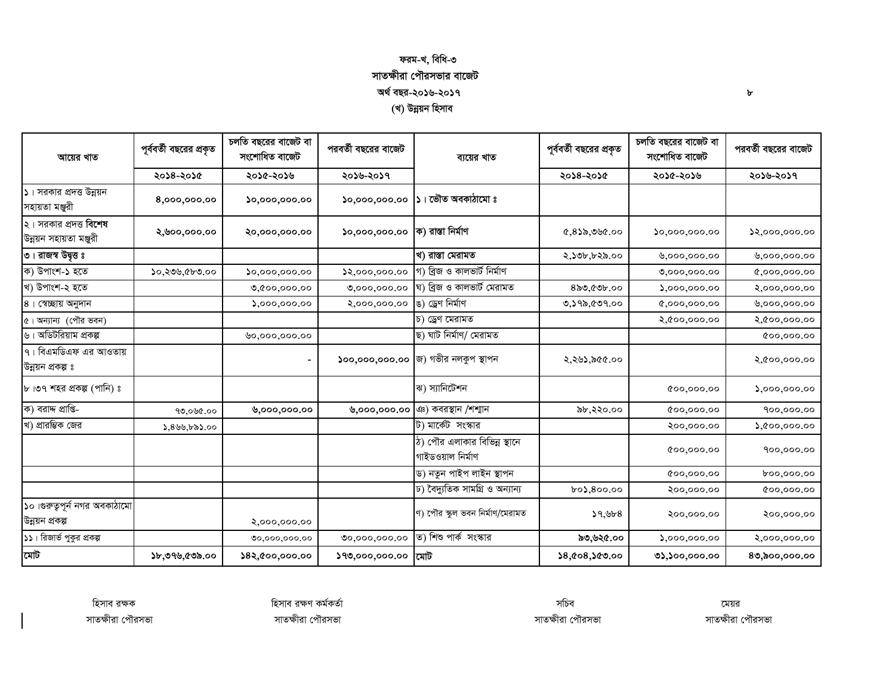## ফরম-খ, বিধি-৩ সাতক্ষীরা পৌরসভার বাজেট অৰ্থ বছর-২০১৬-২০১৭ (খ) উন্নয়ন হিসাব

| আয়ের খাত                                               | পূর্ববর্তী বছরের প্রকৃত | চলতি বছরের বাজেট বা<br>সংশোধিত বাজেট | পরবর্তী বছরের বাজেট | ব্যয়ের খাত                                       | পূর্ববর্তী বছরের প্রকৃত | চলতি বছরের বাজেট বা<br>সংশোধিত বাজেট | পরবর্তী বছরের বাজেট      |
|---------------------------------------------------------|-------------------------|--------------------------------------|---------------------|---------------------------------------------------|-------------------------|--------------------------------------|--------------------------|
|                                                         | ২০১৪-২০১৫               | ২০১৫-২০১৬                            | ২০১৬-২০১৭           |                                                   | ২০১৪-২০১৫               | ২০১৫-২০১৬                            | ২০১৬-২০১৭                |
| $\mathsf{S}$ । সরকার প্রদত্ত উন্নয়ন<br>সহায়তা মঞ্জুরী | 8,000,000.00            | $\mathfrak{so},$ 000,000.00          | 50,000,000.00       | ১। ভৌত অবকাঠামো ঃ                                 |                         |                                      |                          |
| ২। সরকার প্রদত্ত বিশেষ<br>উন্নয়ন সহায়তা মঞ্জুরী       | ২,৬০০,০০০.০০            | ২০,০০০,০০০.০০                        | 50,000,000,00       | ক) রাস্তা নির্মাণ                                 | ৫,৪১৯,৩৬৫.০০            | $\mathfrak{so},$ 000,000.00          | 8,000,000.00             |
| ৩। রাজস্ব উদ্বৃত্ত ঃ                                    |                         |                                      |                     | খ) রাস্তা মেরামত                                  | ২,১৩৮,৮২৯.০০            | 0,000,000.00                         | 0,000,000.00             |
| ক) উপাংশ-১ হতে                                          | ১০,২৩৬,৫৮৩.০০           | 50,000,000.00                        | 2,000,000.00        | গ) ব্ৰিজ ও কালভাৰ্ট নিৰ্মাণ                       |                         | 0,000,000.00                         | 0,000,000,00             |
| খ) উপাংশ-২ হতে                                          |                         | 0,000,000.00                         | 0,000,000.00        | ঘ) ব্ৰিজ ও কালভাৰ্ট মেরামত                        | ৪৯৩,৫৩৮.০০              | 5,000,000.00                         | ২,০০০,০০০.০০             |
| ৪। স্বেচ্ছায় অনুদান                                    |                         | $\Omega$ ,000,000.00                 | ২,০০০,০০০.০০        | ঙ) ড্ৰেণ নিৰ্মাণ                                  | ৩,১৭৯,৫৩৭.০০            | 0,000,000,00                         | 0,000,000.00             |
| ৫। অন্যান্য (পৌর ভবন)                                   |                         |                                      |                     | চ) ড্ৰেণ মেরামত                                   |                         | ২,৫০০,০০০.০০                         | २,৫००,०००.००             |
| ৬। অডিটরিয়াম প্রকল্প                                   |                         | ৬০,০০০,০০০.০০                        |                     | ছ) ঘাট নিৰ্মাণ/ মেরামত                            |                         |                                      | 00,000,00                |
| ৭। বিএমডিএফ এর আওতায়<br>উন্নয়ন প্ৰকল্প ঃ              |                         |                                      |                     | ১০০,০০০,০০০.০০ $ $ জ) গভীর নলকুপ স্থাপন           | ২,২৬১,৯৫৫.০০            |                                      | २,৫००,०००.००             |
| ৮।৩৭ শহর প্রকল্প (পানি) ঃ                               |                         |                                      |                     | ঝ) স্যানিটেশন                                     |                         | 00,000,00                            | $\Omega$ ,000,000.00     |
| ক) বরাদ্দ প্রাপ্তি-                                     | 90,090.00               | ৬,০০০,০০০.০০                         | ७,०००,०००.००        | ঞ) কবরস্থান /শশ্মান                               | ৯৮,২২০.০০               | 000,000.00                           | 900,000.00               |
| খ) প্রারম্ভিক জের                                       | ১,৪৬৬,৮৯১.০০            |                                      |                     | ট) মার্কেট সংস্কার                                |                         | ২০০,০০০.০০                           | $\lambda$ , (coo, 000.00 |
|                                                         |                         |                                      |                     | ঠ) পৌর এলাকার বিভিন্ন স্থানে<br>গাইডওয়াল নিৰ্মাণ |                         | 00,000,00                            | 900,000.00               |
|                                                         |                         |                                      |                     | ড) নতুন পাইপ লাইন স্থাপন                          |                         | 000,000.00                           | 600,000.00               |
|                                                         |                         |                                      |                     | ঢ) বৈদ্যুতিক সামগ্ৰি ও অন্যান্য                   | $b$ 0),800.00           | ২০০,০০০.০০                           | 00,000,00                |
| ১০।গুরুত্বপূর্ন নগর অবকাঠামো<br>উন্নয়ন প্ৰকল্প         |                         | ২,০০০,০০০.০০                         |                     | ণ) পৌর স্কুল ভবন নির্মাণ/মেরামত                   | 59,568                  | ২০০,০০০.০০                           | ২০০,০০০.০০               |
| ১১। রিজার্ভ পুকুর প্রকল্প                               |                         | 00,000,000.00                        | 00,000,000.00       | ত) শিশু পার্ক সংস্কার                             | ৯৩,৬২৫.০০               | 5,000,000.00                         | ২,০০০,০০০.০০             |
| মোট                                                     | ১৮,৩৭৬,৫৩৯.০০           | ১৪২,৫০০,০০০.০০                       | ১৭৩,০০০,০০০.০০      | মোট                                               | 8,008,000.00            | 0,000,000.00                         | 80,000,000.00            |

হিসাব রক্ষক সাতক্ষীরা পৌরসভা হিসাব রক্ষণ কর্মকর্তা সাতক্ষীরা পৌরসভা

সচিব সাতক্ষীরা পৌরসভা

মেয়র সাতক্ষীরা পৌরসভা

 $\mathbf{b}$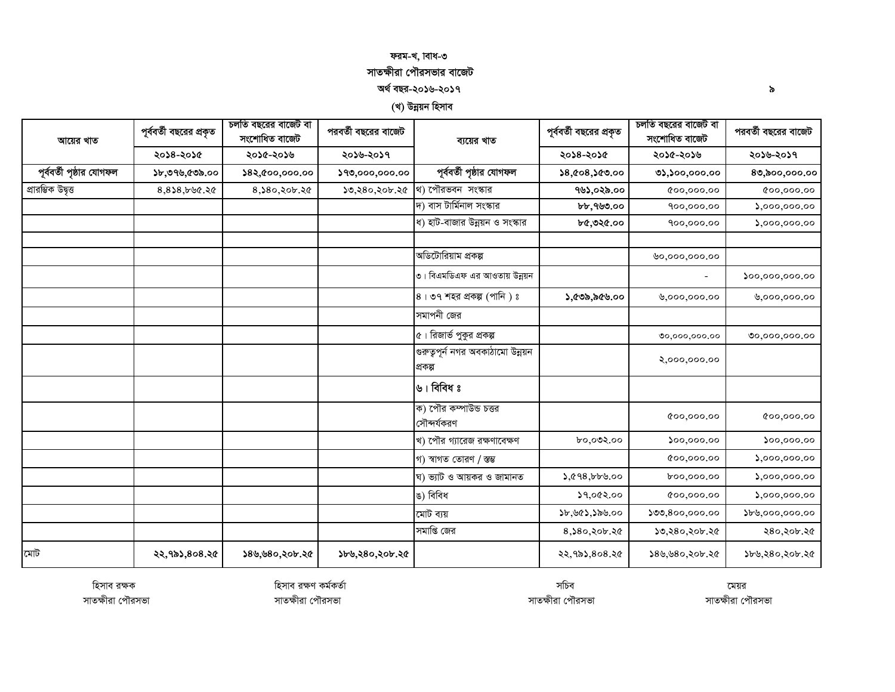### ফরম-খ, াবাধ-৩ সাতক্ষীরা পৌরসভার বাজেট অৰ্থ বছর-২০১৬-২০১৭

(খ) উন্নয়ন হিসাব

| আয়ের খাত                | পূর্ববর্তী বছরের প্রকৃত | চলতি বছরের বাজেট বা<br>সংশোধিত বাজেট | পরবর্তী বছরের বাজেট | ব্যয়ের খাত                                 | পূর্ববর্তী বছরের প্রকৃত | চলতি বছরের বাজেট বা<br>সংশোধিত বাজেট | পরবর্তী বছরের বাজেট         |
|--------------------------|-------------------------|--------------------------------------|---------------------|---------------------------------------------|-------------------------|--------------------------------------|-----------------------------|
|                          | ২০১৪-২০১৫               | ২০১৫-২০১৬                            | ২০১৬-২০১৭           |                                             | ২০১৪-২০১৫               | ২০১৫-২০১৬                            | ২০১৬-২০১৭                   |
| পূর্ববর্তী পৃষ্ঠার যোগফল | ১৮,৩৭৬,৫৩৯.০০           | ১৪২,৫০০,০০০.০০                       | ১৭৩,০০০,০০০.০০      | পূর্ববর্তী পৃষ্ঠার যোগফল                    | 8,008,000,00            | 0,000,000.00                         | 80,000,000.00               |
| প্ৰারম্ভিক উদ্বৃত্ত      | $8,8$ \$8,bbc.2c        | 8,580,206.20                         | ১৩,২৪০,২০৮.২৫       | থ) পৌরভবন সংস্কার                           | ৭৬১,০২৯.০০              | 000,000.00                           | 000,000.00                  |
|                          |                         |                                      |                     | দ) বাস টার্মিনাল সংস্কার                    | b, 999.00               | 900,000.00                           | 5,000,000.00                |
|                          |                         |                                      |                     | ধ) হাট-বাজার উন্নয়ন ও সংস্কার              | ৮৫,৩২৫.০০               | 900,000.00                           | $\Omega$ ,000,000.00        |
|                          |                         |                                      |                     |                                             |                         |                                      |                             |
|                          |                         |                                      |                     | অডিটোরিয়াম প্রকল্প                         |                         | ৬০,০০০,০০০.০০                        |                             |
|                          |                         |                                      |                     | ৩। বিএমডিএফ এর আওতায় উন্নয়ন               |                         | $\blacksquare$                       | 00,000,000.00               |
|                          |                         |                                      |                     | $8$ । ৩৭ শহর প্রকল্প (পানি) ঃ               | ১,৫৩৯,৯৫৬.০০            | 0,000,000.00                         | ৬,০০০,০০০.০০                |
|                          |                         |                                      |                     | সমাপনী জের                                  |                         |                                      |                             |
|                          |                         |                                      |                     | ৫। রিজার্ভ পুকুর প্রকল্প                    |                         | 00,000,000.00                        | 00,000,000.00               |
|                          |                         |                                      |                     | গুরুতৃপূর্ন নগর অবকাঠামো উন্নয়ন<br>প্ৰকল্প |                         | ২,০০০,০০০.০০                         |                             |
|                          |                         |                                      |                     | ৬। বিবিধ ঃ                                  |                         |                                      |                             |
|                          |                         |                                      |                     | ক) পৌর কম্পাউন্ড চত্তর<br>সৌন্দৰ্যকরণ       |                         | 00,000,00                            | 00,000.00                   |
|                          |                         |                                      |                     | খ) পৌর গ্যারেজ রক্ষণাবেক্ষণ                 | ৮০,০৩২.০০               | 500,000.00                           | $\mathfrak{so}_{2}$ ,000.00 |
|                          |                         |                                      |                     | গ) স্বাগত তোরণ / স্তম্ভ                     |                         | 00,000,00                            | 5,000,000.00                |
|                          |                         |                                      |                     | ঘ) ভ্যাট ও আয়কর ও জামানত                   | 3,098,000               | 600,000.00                           | 5,000,000.00                |
|                          |                         |                                      |                     | ঙ) বিবিধ                                    | ১৭,०৫২.০০               | 00,000.00                            | 5,000,000.00                |
|                          |                         |                                      |                     | মোট ব্যয়                                   | ১৮,৬৫১,১৯৬.০০           | 500,800,000.00                       | $\$b\%,$ 000,000.00         |
|                          |                         |                                      |                     | সমাপ্তি জের                                 | 8,380,205.20            | ১৩,২৪০,২০৮.২৫                        | ২৪০,২০৮.২৫                  |
| মোট                      | ২২,৭৯১,৪০৪.২৫           | ১৪৬,৬৪০,২০৮.২৫                       | ১৮৬,২৪০,২০৮.২৫      |                                             | ২২,৭৯১,৪০৪.২৫           | ১৪৬,৬৪০,২০৮.২৫                       | ১৮৬,২৪০,২০৮.২৫              |

হিসাব রক্ষণ কর্মকর্তা

সাতক্ষীরা পৌরসভা

হিসাব রক্ষক সাতক্ষীরা পৌরসভা

সচিব সাতক্ষীরা পৌরসভা

মেয়র সাতক্ষীরা পৌরসভা

 $\delta$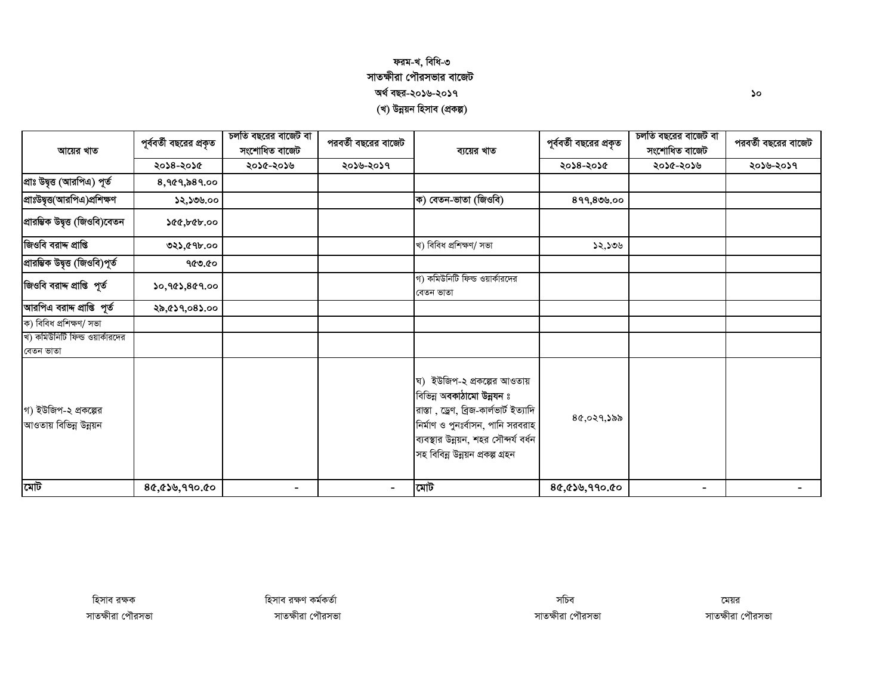### ফরম-খ, বিধি-৩ সাতক্ষীরা পৌরসভার বাজেট অৰ্থ বছর-২০১৬-২০১৭ (খ) উন্নয়ন হিসাব (প্ৰকল্প)

| আয়ের খাত                                      | পূর্ববর্তী বছরের প্রকৃত | চলতি বছরের বাজেট বা<br>সংশোধিত বাজেট | পরবর্তী বছরের বাজেট | ব্যয়ের খাত                                                                                                                                                                                                           | পূর্ববর্তী বছরের প্রকৃত | চলতি বছরের বাজেট বা<br>সংশোধিত বাজেট | পরবর্তী বছরের বাজেট |
|------------------------------------------------|-------------------------|--------------------------------------|---------------------|-----------------------------------------------------------------------------------------------------------------------------------------------------------------------------------------------------------------------|-------------------------|--------------------------------------|---------------------|
|                                                | ২০১৪-২০১৫               | ২০১৫-২০১৬                            | ২০১৬-২০১৭           |                                                                                                                                                                                                                       | ২০১৪-২০১৫               | ২০১৫-২০১৬                            | ২০১৬-২০১৭           |
| প্রাঃ উদ্বৃত্ত (আরপিএ) পূর্ত                   | 8,969,889.00            |                                      |                     |                                                                                                                                                                                                                       |                         |                                      |                     |
| প্রাঃউদ্বৃত্ত(আরপিএ)প্রশিক্ষণ                  | ১২,১৩৬.০০               |                                      |                     | ক) বেতন-ভাতা (জিওবি)                                                                                                                                                                                                  | 899,809.00              |                                      |                     |
| প্রারম্ভিক উদ্বৃত্ত (জিওবি)বেতন                | ১৫৫,৮৫৮.০০              |                                      |                     |                                                                                                                                                                                                                       |                         |                                      |                     |
| জিওবি বরাদ্দ প্রাপ্তি                          | ৩২১,৫৭৮.০০              |                                      |                     | খ) বিবিধ প্ৰশিক্ষণ/ সভা                                                                                                                                                                                               | ১২,১৩৬                  |                                      |                     |
| প্ৰারম্ভিক উদ্বৃত্ত (জিওবি)পূর্ত               | ৭৫৩.৫০                  |                                      |                     |                                                                                                                                                                                                                       |                         |                                      |                     |
| জিওবি বরাদ প্রাপ্তি পূর্ত                      | ১০,৭৫১,৪৫৭.০০           |                                      |                     | গ) কমিউনিটি ফিল্ড ওয়ার্কারদের<br>বেতন ভাতা                                                                                                                                                                           |                         |                                      |                     |
| আরপিএ বরাদ্দ প্রাপ্তি পূর্ত                    | ২৯,৫১৭,০৪১.০০           |                                      |                     |                                                                                                                                                                                                                       |                         |                                      |                     |
| ক) বিবিধ প্ৰশিক্ষণ/ সভা                        |                         |                                      |                     |                                                                                                                                                                                                                       |                         |                                      |                     |
| খ) কমিউনিটি ফিল্ড ওয়ার্কারদের<br>বেতন ভাতা    |                         |                                      |                     |                                                                                                                                                                                                                       |                         |                                      |                     |
| গ) ইউজিপ-২ প্রকল্পের<br>আওতায় বিভিন্ন উন্নয়ন |                         |                                      |                     | ঘ) ইউজিপ-২ প্রকল্পের আওতায়<br>বিভিন্ন অবকাঠামো উন্নযন ঃ<br>রাস্তা, ড্রেণ, ব্রিজ-কার্লভার্ট ইত্যাদি<br>নিৰ্মাণ ও পুনঃৰ্বাসন, পানি সরবরাহ<br>ব্যবস্থার উন্নয়ন, শহর সৌন্দর্য বর্ধন<br>সহ বিবিন্ন উন্নয়ন প্ৰকল্প গ্ৰহন | 80,029,388              |                                      |                     |
| মোট                                            | 80,050,990.00           |                                      |                     | মোট                                                                                                                                                                                                                   | 80,050,990.00           |                                      |                     |

 $\mathcal{S}^{\circ}$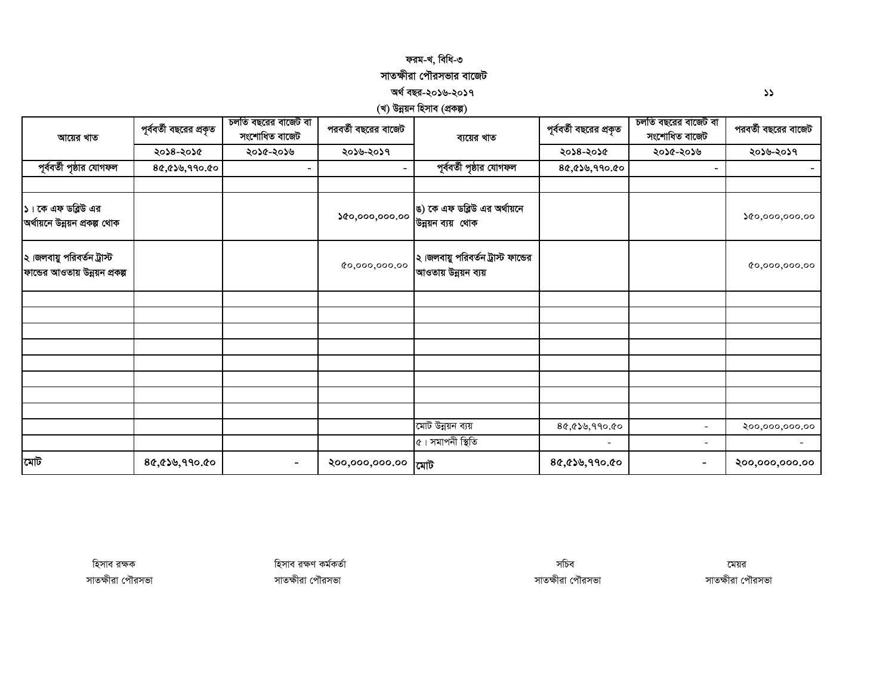### *dig-L, wewa-3*  সাতক্ষীরা পৌরসভার বাজেট

 *A\_© eQi-2016-2017 11*

*(খ) উন্নয়ন হিসাব (প্ৰকল্প)* 

| আয়ের খাত                                                    | পূর্ববর্তী বছরের প্রকৃত | চলতি বছরের বাজেট বা<br>সংশোধিত বাজেট | পরবর্তী বছরের বাজেট | ব্যয়ের খাত                                                | পূর্ববর্তী বছরের প্রকৃত | চলতি বছরের বাজেট বা<br>সংশোধিত বাজেট | পরবর্তী বছরের বাজেট |
|--------------------------------------------------------------|-------------------------|--------------------------------------|---------------------|------------------------------------------------------------|-------------------------|--------------------------------------|---------------------|
|                                                              | ২০১৪-২০১৫               | ২০১৫-২০১৬                            | ২০১৬-২০১৭           |                                                            | ২০১৪-২০১৫               | ২০১৫-২০১৬                            | ২০১৬-২০১৭           |
| পূর্ববর্তী পৃষ্ঠার যোগফল                                     | 80,00,990,00            |                                      |                     | পূর্ববর্তী পৃষ্ঠার যোগফল                                   | ৪৫,৫১৬,৭৭০.৫০           |                                      |                     |
|                                                              |                         |                                      |                     |                                                            |                         |                                      |                     |
| ১। কে এফ ডব্লিউ এর<br>অর্থায়নে উন্নয়ন প্রকল্প থোক          |                         |                                      | \$0,000,000.00      | ঙ) কে এফ ডব্লিউ এর অর্থায়নে<br>উন্নয়ন ব্যয় থোক          |                         |                                      | 0.000,000.00        |
| ২।জলবায়ু পরিবর্তন ট্রাস্ট<br>ফান্ডের আওতায় উন্নয়ন প্রকল্প |                         |                                      | 0,000,000.00        | ২।জলবায়ু পরিবর্তন ট্রাস্ট ফান্ডের<br>আওতায় উন্নয়ন ব্যয় |                         |                                      | 0,000,000,00        |
|                                                              |                         |                                      |                     |                                                            |                         |                                      |                     |
|                                                              |                         |                                      |                     |                                                            |                         |                                      |                     |
|                                                              |                         |                                      |                     |                                                            |                         |                                      |                     |
|                                                              |                         |                                      |                     |                                                            |                         |                                      |                     |
|                                                              |                         |                                      |                     |                                                            |                         |                                      |                     |
|                                                              |                         |                                      |                     |                                                            |                         |                                      |                     |
|                                                              |                         |                                      |                     |                                                            |                         |                                      |                     |
|                                                              |                         |                                      |                     |                                                            |                         |                                      |                     |
|                                                              |                         |                                      |                     | মোট উন্নয়ন ব্যয়                                          | 80,00,990.00            | $\overline{\phantom{a}}$             | ২০০,০০০,০০০.০০      |
|                                                              |                         |                                      |                     | ৫। সমাপনী স্থিতি                                           | $\blacksquare$          | $\overline{\phantom{a}}$             |                     |
| মোট                                                          | 80,050,990.00           |                                      | ২০০,০০০,০০০.০০      | মোট                                                        | 80,050,990.00           | $\overline{\phantom{0}}$             | ২০০,০০০,০০০.০০      |

*হি*সাব রক্ষক বিজেপি সামৰ সময়ৰ সময়ৰ সময়ৰ সময়ৰ সময়ৰ সময়ৰ সময়ৰ সময়ৰ সময়ৰ সময়ৰ সময়ৰ সময়ৰ সময়ৰ সময়ৰ সময়ৰ  *mvZÿxiv †c․imfv mvZÿxiv †c․imfv mvZÿxiv †c․imfv mvZÿxiv †c․imfv*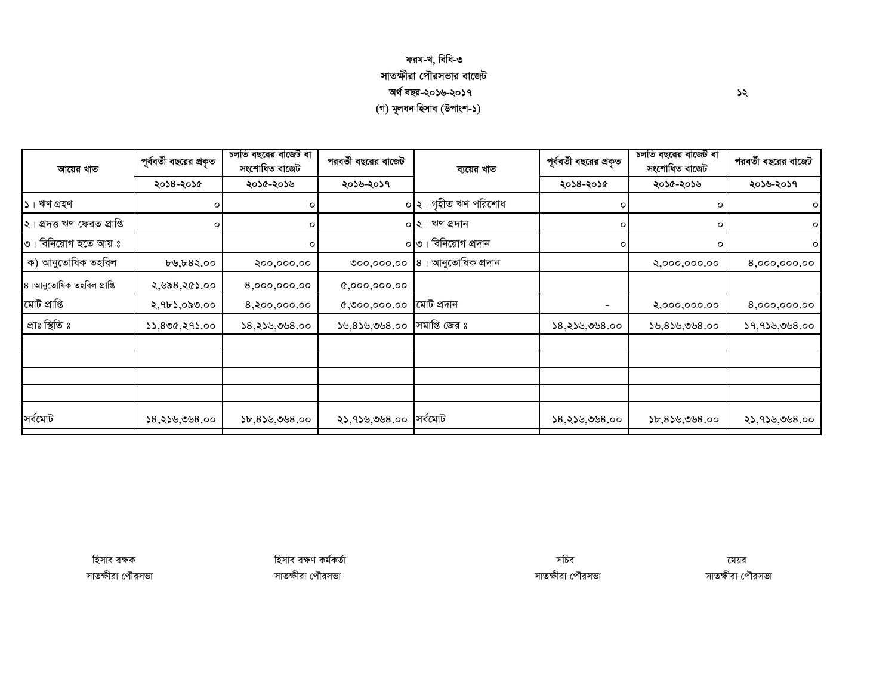## ফরম-খ, বিধি-৩ সাতক্ষীরা পৌরসভার বাজেট অৰ্থ বছর-২০১৬-২০১৭ (গ) মূলধন হিসাব (উপাংশ-১)

| আয়ের খাত                    | পূর্ববর্তী বছরের প্রকৃত | চলতি বছরের বাজেট বা<br>সংশোধিত বাজেট | পরবর্তী বছরের বাজেট<br>ব্যয়ের খাত |                      | পূর্ববর্তী বছরের প্রকৃত | চলতি বছরের বাজেট বা<br>সংশোধিত বাজেট | পরবর্তী বছরের বাজেট |
|------------------------------|-------------------------|--------------------------------------|------------------------------------|----------------------|-------------------------|--------------------------------------|---------------------|
|                              | ২০১৪-২০১৫               | ২০১৫-২০১৬                            | ২০১৬-২০১৭                          |                      | ২০১৪-২০১৫               | ২০১৫-২০১৬                            | ২০১৬-২০১৭           |
| $\mathcal{L}$ । ঋণ গ্রহণ     | $\circ$                 | ο                                    |                                    | ০ ২। গৃহীত ঋণ পরিশোধ | o                       | O                                    | $\circ$             |
| ২। প্ৰদত্ত ঋণ ফেরত প্রাপ্তি  | $\circ$                 | $\circ$                              |                                    | ০ ২। ঋণ প্ৰদান       | $\circ$                 | $\circ$                              | $\circ$             |
| $\circ$ । বিনিয়োগ হতে আয় ঃ |                         | 0                                    |                                    | ০ ৩। বিনিয়োগ প্রদান | $\circ$                 | o                                    | $\circ$             |
| ক) আনুতোষিক তহবিল            | ৮৬,৮৪২.০০               | ২০০,০০০.০০                           | 000,000.00                         | 8। আনুতোষিক প্ৰদান   |                         | 8,000,000.00                         | 8,000,000.00        |
| ৪।আনুতোষিক তহবিল প্ৰাপ্তি    | ২,৬৯৪,২৫১.০০            | 8,000,000.00                         | 0,000,000,00                       |                      |                         |                                      |                     |
| মোট প্ৰাপ্তি                 | ২,৭৮১,০৯৩.০০            | 8,২০০,০০০.০০                         | 0,000,000.00                       | মোট প্ৰদান           |                         | 8,000,000.00                         | 8,000,000.00        |
| প্ৰাঃ স্থিতি ঃ               | 33,800,293.00           | 38,330,088.00                        | ১৬,৪১৬,৩৬৪.০০                      | সমাপ্তি জের ঃ        | ১৪,২১৬,৩৬৪.০০           | ১৬,৪১৬,৩৬৪.০০                        | 19,919,008.00       |
|                              |                         |                                      |                                    |                      |                         |                                      |                     |
|                              |                         |                                      |                                    |                      |                         |                                      |                     |
|                              |                         |                                      |                                    |                      |                         |                                      |                     |
|                              |                         |                                      |                                    |                      |                         |                                      |                     |
| সৰ্বমোট                      | ১৪,২১৬,৩৬৪.০০           | 55,859,98.00                         | ২১,৭১৬,৩৬৪.০০                      | সৰ্বমোট              | ১৪,২১৬,৩৬৪.০০           | $$b,8$ ১৬,৩৬৪.০০                     | ২১,৭১৬,৩৬৪.০০       |

হিসাব রক্ষক সাতক্ষীরা পৌরসভা হিসাব রক্ষণ কর্মকর্তা সাতক্ষীরা পৌরসভা

সচিব সাতক্ষীরা পৌরসভা

মেয়র সাতক্ষীরা পৌরসভা

১২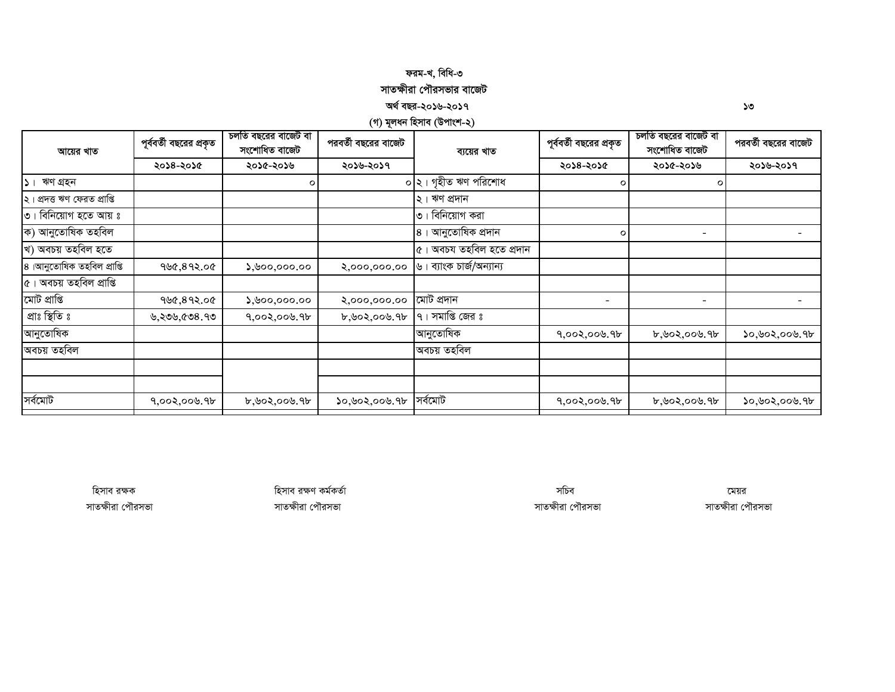## ফরম-খ, বিধি-৩ সাতক্ষীরা পৌরসভার বাজেট

#### অৰ্থ বছর-২০১৬-২০১৭

(গ) মূলধন হিসাব (উপাংশ-২)

| আয়ের খাত                    | পূর্ববর্তী বছরের প্রকৃত | চলতি বছরের বাজেট বা<br>সংশোধিত বাজেট | পরবর্তী বছরের বাজেট | ব্যয়ের খাত                   | পূর্ববর্তী বছরের প্রকৃত  | চলতি বছরের বাজেট বা<br>সংশোধিত বাজেট | পরবর্তী বছরের বাজেট |
|------------------------------|-------------------------|--------------------------------------|---------------------|-------------------------------|--------------------------|--------------------------------------|---------------------|
|                              | ২০১৪-২০১৫               | ২০১৫-২০১৬                            | ২০১৬-২০১৭           |                               | ২০১৪-২০১৫                | ২০১৫-২০১৬                            | ২০১৬-২০১৭           |
| $ S $ ঋণ গ্ৰহন               |                         | $\circ$                              |                     | ০  ২। গৃহীত ঋণ পরিশোধ         | $\circ$                  | $\circ$                              |                     |
| ২। প্ৰদত্ত ঋণ ফেরত প্রাপ্তি  |                         |                                      |                     | ২। ঋণ প্ৰদান                  |                          |                                      |                     |
| $\circ$ । বিনিয়োগ হতে আয় ঃ |                         |                                      |                     | $\circ$ । বিনিয়োগ করা        |                          |                                      |                     |
| ক) আনুতোষিক তহবিল            |                         |                                      |                     | ৪। আনুতোষিক প্ৰদান            | $\circ$                  | $\overline{\phantom{a}}$             |                     |
| খ) অবচয় তহবিল হতে           |                         |                                      |                     | ৫। অবচয তহবিল হতে প্ৰদান      |                          |                                      |                     |
| ৪।আনুতোষিক তহবিল প্ৰাপ্তি    | ৭৬৫,৪৭২.০৫              | $\lambda$ , boo, ooo. oo             | 8,000,000.00        | । ব্যাংক চাৰ্জ/অন্যান্য<br>৬। |                          |                                      |                     |
| ৫। অবচয় তহবিল প্ৰাপ্তি      |                         |                                      |                     |                               |                          |                                      |                     |
| মোট প্ৰাপ্তি                 | ৭৬৫,৪৭২.০৫              | $\lambda$ ,৬০০,০০০.০০                | 8,000,000.00        | মোট প্ৰদান                    | $\overline{\phantom{a}}$ | $\overline{\phantom{a}}$             |                     |
| প্ৰাঃ স্থিতি ঃ               | ৬,২৩৬,৫৩৪.৭৩            | 9,002,000.9                          | b, 902, 009.9b      | $9$ । সমাপ্তি জের ঃ           |                          |                                      |                     |
| াআনুতোষিক                    |                         |                                      |                     | আনুতোষিক                      | ৭,০০২,০০৬.৭৮             | ৮,৬০২,০০৬.৭৮                         | ১০,৬০২,০০৬.৭৮       |
| অবচয় তহবিল                  |                         |                                      |                     | অবচয় তহবিল                   |                          |                                      |                     |
|                              |                         |                                      |                     |                               |                          |                                      |                     |
|                              |                         |                                      |                     |                               |                          |                                      |                     |
| সৰ্বমোট                      | ৭,০০২,০০৬.৭৮            | ৮,৬০২,০০৬.৭৮                         | ১০,৬০২,০০৬.৭৮       | সৰ্বমোট                       | ৭,০০২,০০৬.৭৮             | ৮,৬০২,০০৬.৭৮                         | ১০,৬০২,০০৬.৭৮       |

হিসাব রক্ষক সাতক্ষীরা পৌরসভা হিসাব রক্ষণ কর্মকর্তা সাতক্ষীরা পৌরসভা

সচিব সাতক্ষীরা পৌরসভা

মেয়র সাতক্ষীরা পৌরসভা

১৩